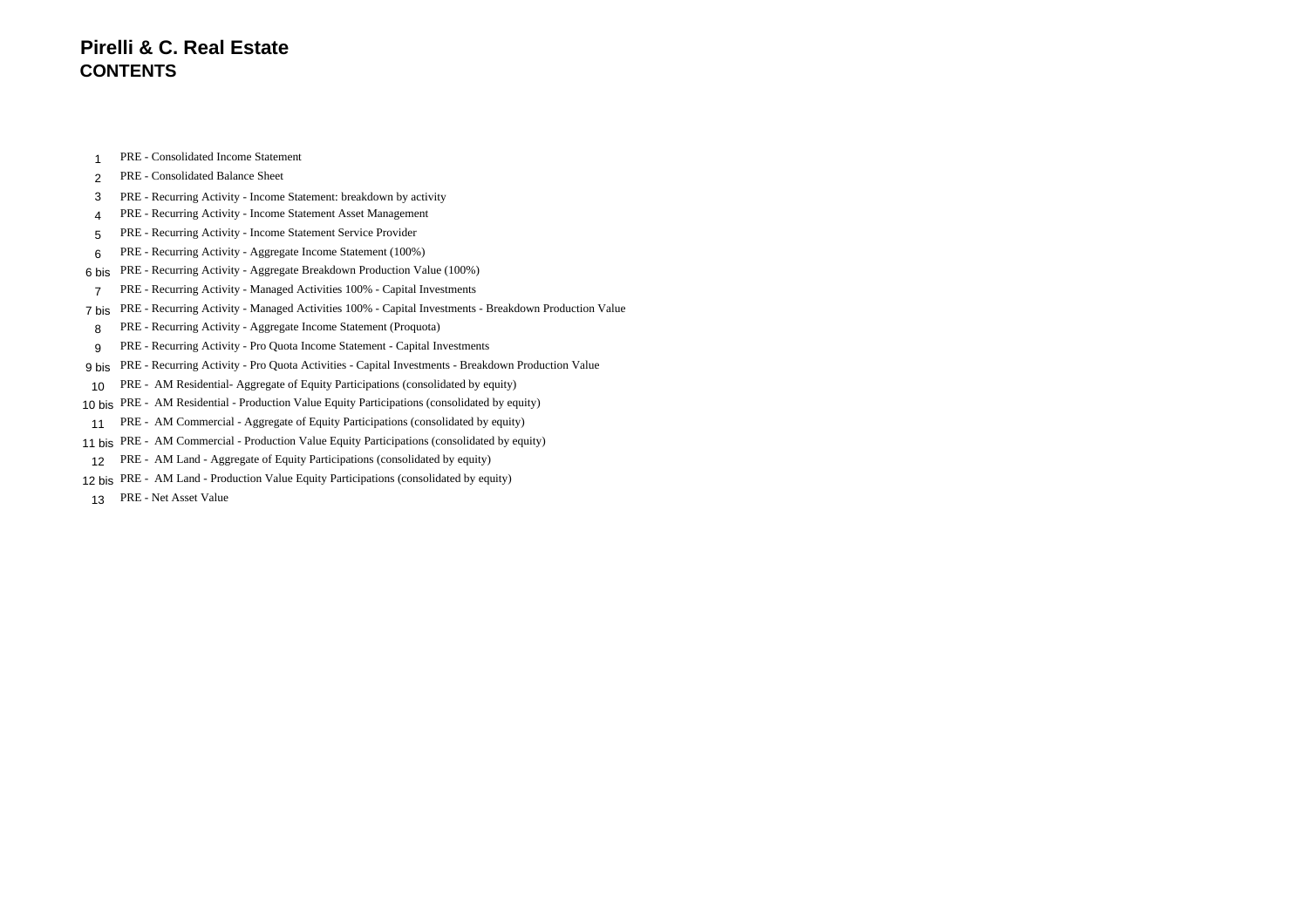### **Pirelli & C. Real Estate CONTENTS**

PRE - Consolidated Income Statement

#### PRE - Consolidated Balance Sheet

- PRE Recurring Activity Income Statement: breakdown by activity
- PRE Recurring Activity Income Statement Asset Management
- PRE Recurring Activity Income Statement Service Provider
- PRE Recurring Activity Aggregate Income Statement (100%)
- 6 bis PRE Recurring Activity Aggregate Breakdown Production Value (100%)
- PRE Recurring Activity Managed Activities 100% Capital Investments
- 7 bis PRE Recurring Activity Managed Activities 100% Capital Investments Breakdown Production Value
- PRE Recurring Activity Aggregate Income Statement (Proquota)
- PRE Recurring Activity Pro Quota Income Statement Capital Investments
- 9 bis PRE Recurring Activity Pro Quota Activities Capital Investments Breakdown Production Value
- PRE AM Residential- Aggregate of Equity Participations (consolidated by equity)
- 10 bis PRE AM Residential Production Value Equity Participations (consolidated by equity)
- PRE AM Commercial Aggregate of Equity Participations (consolidated by equity)
- 11 bis PRE AM Commercial Production Value Equity Participations (consolidated by equity)
- PRE AM Land Aggregate of Equity Participations (consolidated by equity)
- 12 bis PRE AM Land Production Value Equity Participations (consolidated by equity)
- PRE Net Asset Value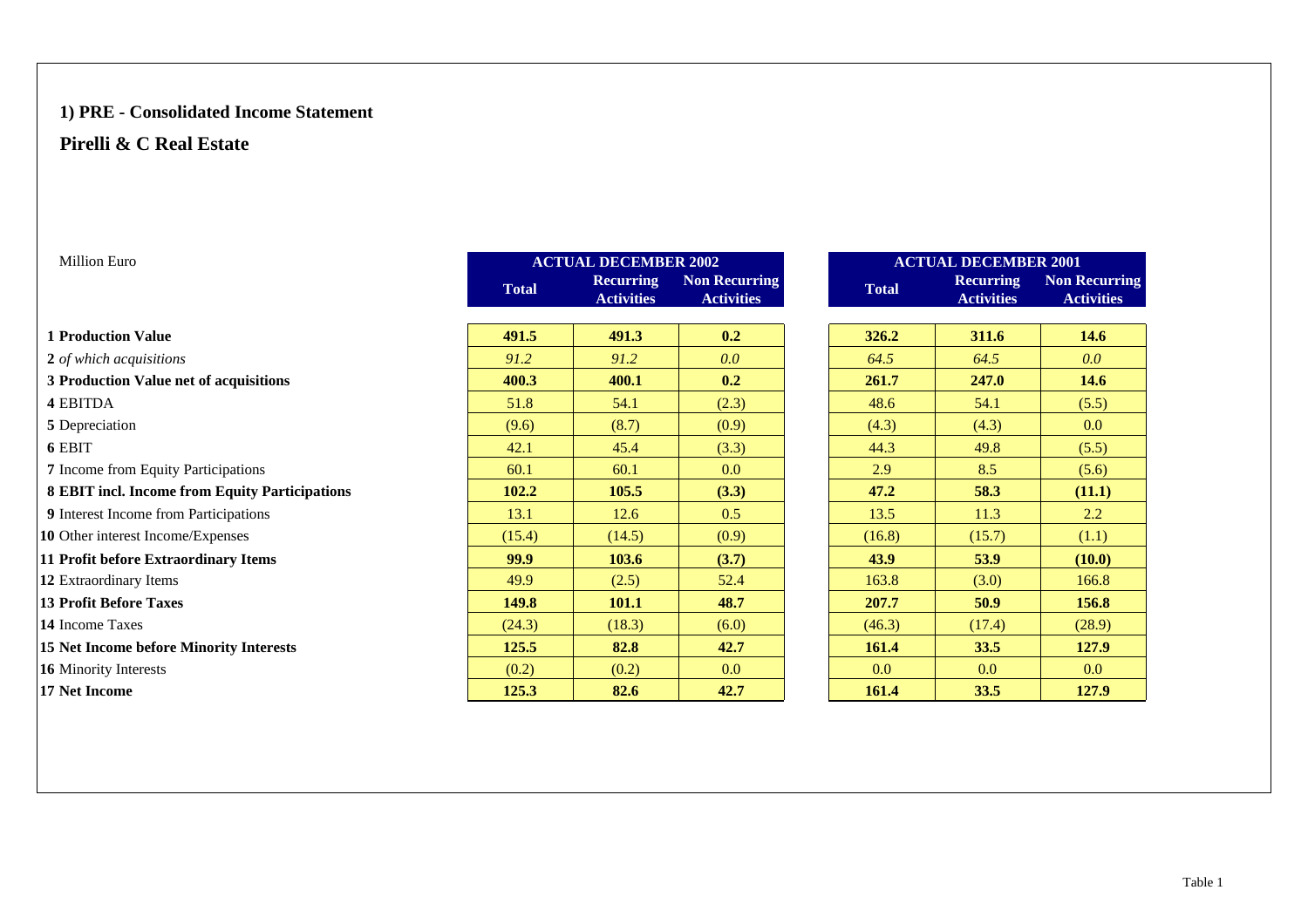### **1) PRE - Consolidated Income Statement**

### **Pirelli & C Real Estate**

| <b>Million Euro</b>                            |              | <b>ACTUAL DECEMBER 2002</b>           |                                           |              | <b>ACTUAL DECEMBER 2001</b>           |                                     |  |  |  |
|------------------------------------------------|--------------|---------------------------------------|-------------------------------------------|--------------|---------------------------------------|-------------------------------------|--|--|--|
|                                                | <b>Total</b> | <b>Recurring</b><br><b>Activities</b> | <b>Non Recurring</b><br><b>Activities</b> | <b>Total</b> | <b>Recurring</b><br><b>Activities</b> | <b>Non Recur</b><br><b>Activiti</b> |  |  |  |
| <b>1 Production Value</b>                      | 491.5        | 491.3                                 | 0.2                                       | 326.2        | 311.6                                 | 14.6                                |  |  |  |
| 2 of which acquisitions                        | 91.2         | 91.2                                  | 0.0                                       | 64.5         | 64.5                                  | 0.0 <sub>1</sub>                    |  |  |  |
| 3 Production Value net of acquisitions         | 400.3        | 400.1                                 | 0.2                                       | 261.7        | 247.0                                 | 14.6                                |  |  |  |
| 4 EBITDA                                       | 51.8         | 54.1                                  | (2.3)                                     | 48.6         | 54.1                                  | (5.5)                               |  |  |  |
| 5 Depreciation                                 | (9.6)        | (8.7)                                 | (0.9)                                     | (4.3)        | (4.3)                                 | 0.0                                 |  |  |  |
| 6 EBIT                                         | 42.1         | 45.4                                  | (3.3)                                     | 44.3         | 49.8                                  | (5.5)                               |  |  |  |
| 7 Income from Equity Participations            | 60.1         | 60.1                                  | 0.0                                       | 2.9          | 8.5                                   | (5.6)                               |  |  |  |
| 8 EBIT incl. Income from Equity Participations | 102.2        | 105.5                                 | (3.3)                                     | 47.2         | 58.3                                  | (11.1)                              |  |  |  |
| 9 Interest Income from Participations          | 13.1         | 12.6                                  | 0.5                                       | 13.5         | 11.3                                  | 2.2                                 |  |  |  |
| 10 Other interest Income/Expenses              | (15.4)       | (14.5)                                | (0.9)                                     | (16.8)       | (15.7)                                | (1.1)                               |  |  |  |
| 11 Profit before Extraordinary Items           | 99.9         | 103.6                                 | (3.7)                                     | 43.9         | 53.9                                  | (10.0)                              |  |  |  |
| 12 Extraordinary Items                         | 49.9         | (2.5)                                 | 52.4                                      | 163.8        | (3.0)                                 | 166.8                               |  |  |  |
| <b>13 Profit Before Taxes</b>                  | 149.8        | 101.1                                 | 48.7                                      | 207.7        | 50.9                                  | 156.8                               |  |  |  |
| 14 Income Taxes                                | (24.3)       | (18.3)                                | (6.0)                                     | (46.3)       | (17.4)                                | (28.9)                              |  |  |  |
| 15 Net Income before Minority Interests        | 125.5        | 82.8                                  | 42.7                                      | <b>161.4</b> | 33.5                                  | 127.9                               |  |  |  |
| 16 Minority Interests                          | (0.2)        | (0.2)                                 | 0.0                                       | 0.0          | 0.0                                   | 0.0                                 |  |  |  |
| 17 Net Income                                  | 125.3        | 82.6                                  | 42.7                                      | <b>161.4</b> | 33.5                                  | 127.9                               |  |  |  |

**Non Recurring Activities**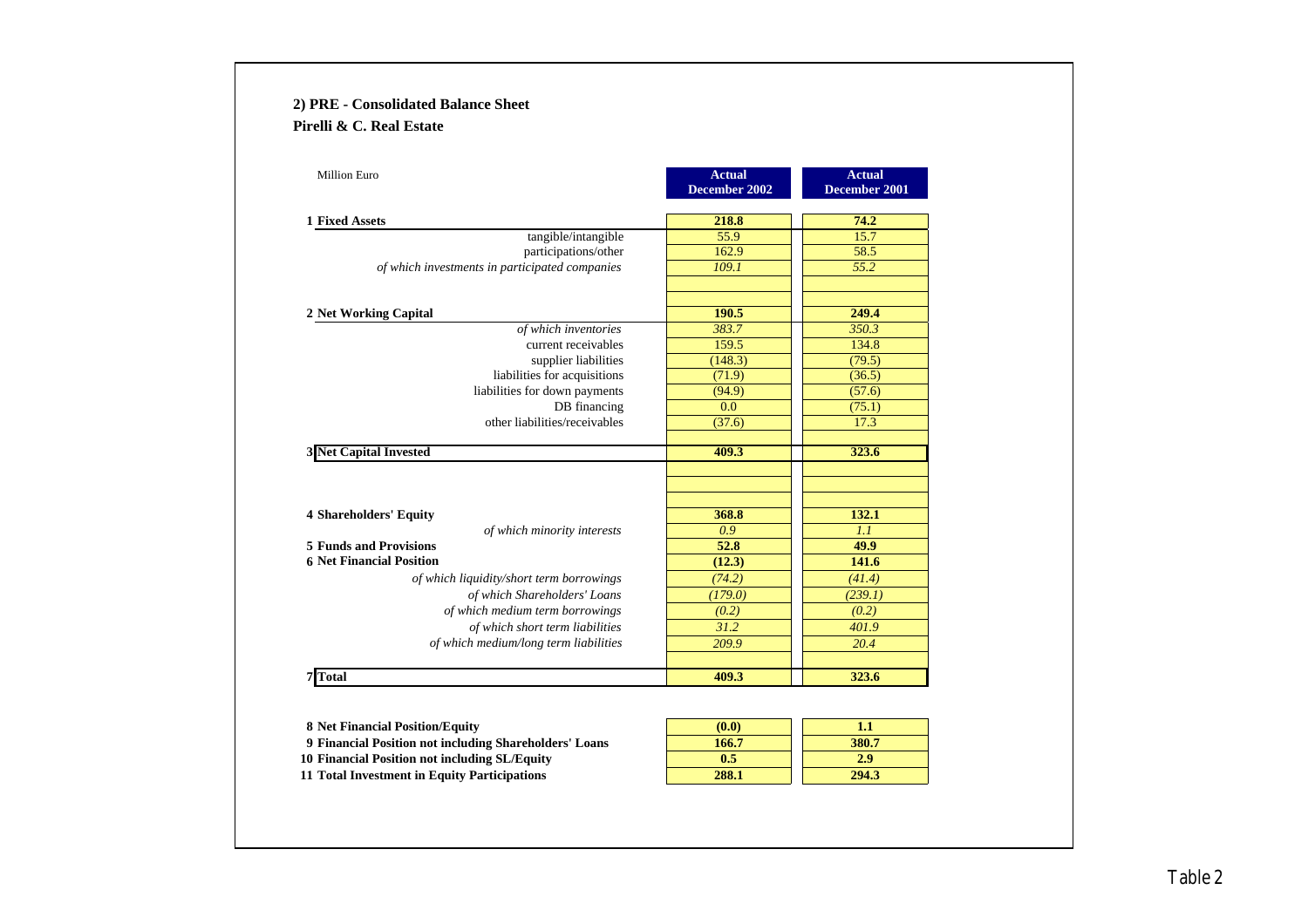### **2) PRE - Consolidated Balance Sheet Pirelli & C. Real Estate**

| <b>Million Euro</b>                            | <b>Actual</b><br>December 2002 | <b>Actual</b><br>December 2001 |
|------------------------------------------------|--------------------------------|--------------------------------|
|                                                |                                |                                |
| <b>1 Fixed Assets</b>                          | 218.8                          | 74.2                           |
| tangible/intangible                            | 55.9                           | 15.7                           |
| participations/other                           | 162.9                          | 58.5                           |
| of which investments in participated companies | 109.1                          | 55.2                           |
| 2 Net Working Capital                          | 190.5                          | 249.4                          |
| of which inventories                           | 383.7                          | 350.3                          |
| current receivables                            | 159.5                          | 134.8                          |
| supplier liabilities                           | (148.3)                        | (79.5)                         |
| liabilities for acquisitions                   | (71.9)                         | (36.5)                         |
| liabilities for down payments                  | (94.9)                         | (57.6)                         |
| DB financing                                   | 0.0                            | (75.1)                         |
| other liabilities/receivables                  | (37.6)                         | 17.3                           |
| <b>3 Net Capital Invested</b>                  | 409.3                          | 323.6                          |
|                                                |                                |                                |
|                                                |                                |                                |
| <b>4 Shareholders' Equity</b>                  | 368.8                          | 132.1                          |
| of which minority interests                    | 0.9                            | 1.1                            |
| <b>5 Funds and Provisions</b>                  | 52.8                           | 49.9                           |
| <b>6 Net Financial Position</b>                | (12.3)                         | 141.6                          |
| of which liquidity/short term borrowings       | (74.2)                         | (41.4)                         |
| of which Shareholders' Loans                   | (179.0)                        | (239.1)                        |
| of which medium term borrowings                | (0.2)                          | (0.2)                          |
| of which short term liabilities                | 31.2                           | 401.9                          |
| of which medium/long term liabilities          | 209.9                          | 20.4                           |
| <b>Total</b>                                   | 409.3                          | 323.6                          |

 Net Financial Position/Equity<br> **1.1**<br> **1.1**<br> **1.66.7**<br> **1.80.7**<br> **1.80.7 Financial Position not including Shareholders' Loans 166.7 380.7 Financial Position not including SL/Equity 0.5 2.9 Total Investment in Equity Participations 288.1 294.3**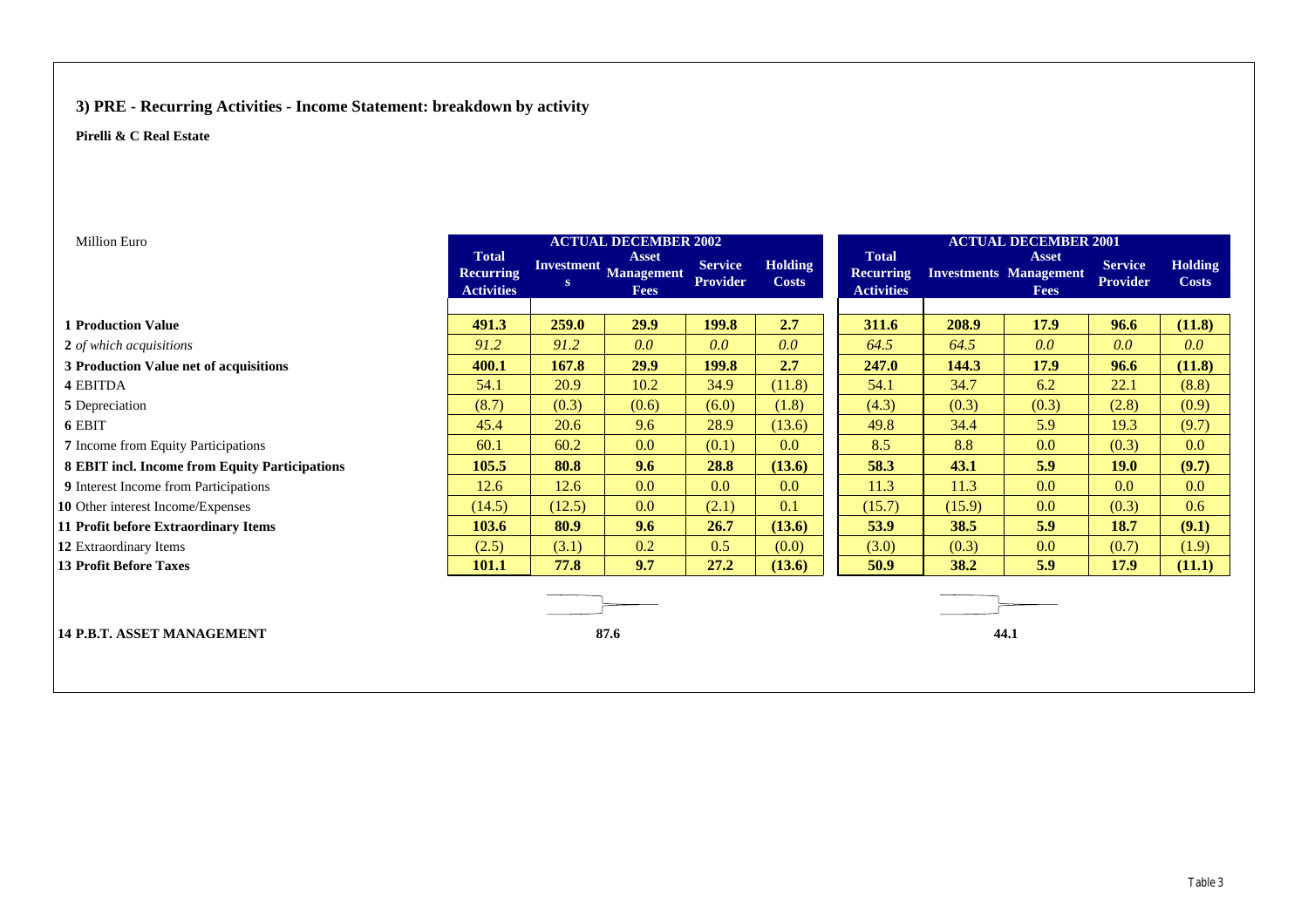### **3) PRE - Recurring Activities - Income Statement: breakdown by activity**

| <b>Million Euro</b>                            | <b>ACTUAL DECEMBER 2002</b>                           |        |                                                      |                                   |                                | <b>ACTUAL DECEMBER 2001</b>                           |        |                                                              |                                   |                                |  |
|------------------------------------------------|-------------------------------------------------------|--------|------------------------------------------------------|-----------------------------------|--------------------------------|-------------------------------------------------------|--------|--------------------------------------------------------------|-----------------------------------|--------------------------------|--|
|                                                | <b>Total</b><br><b>Recurring</b><br><b>Activities</b> | S      | <b>Asset</b><br>Investment Management<br><b>Fees</b> | <b>Service</b><br><b>Provider</b> | <b>Holding</b><br><b>Costs</b> | <b>Total</b><br><b>Recurring</b><br><b>Activities</b> |        | <b>Asset</b><br><b>Investments Management</b><br><b>Fees</b> | <b>Service</b><br><b>Provider</b> | <b>Holding</b><br><b>Costs</b> |  |
|                                                |                                                       |        |                                                      |                                   |                                |                                                       |        |                                                              |                                   |                                |  |
| <b>1 Production Value</b>                      | 491.3                                                 | 259.0  | 29.9                                                 | 199.8                             | 2.7                            | 311.6                                                 | 208.9  | <b>17.9</b>                                                  | 96.6                              | (11.8)                         |  |
| 2 of which acquisitions                        | 91.2                                                  | 91.2   | 0.0 <sub>1</sub>                                     | 0.0                               | 0.0                            | 64.5                                                  | 64.5   | 0.0                                                          | 0.0                               | 0.0                            |  |
| 3 Production Value net of acquisitions         | 400.1                                                 | 167.8  | 29.9                                                 | 199.8                             | 2.7                            | 247.0                                                 | 144.3  | 17.9                                                         | 96.6                              | (11.8)                         |  |
| <b>4 EBITDA</b>                                | 54.1                                                  | 20.9   | 10.2                                                 | 34.9                              | (11.8)                         | 54.1                                                  | 34.7   | 6.2                                                          | 22.1                              | (8.8)                          |  |
| 5 Depreciation                                 | (8.7)                                                 | (0.3)  | (0.6)                                                | (6.0)                             | (1.8)                          | (4.3)                                                 | (0.3)  | (0.3)                                                        | (2.8)                             | (0.9)                          |  |
| 6 EBIT                                         | 45.4                                                  | 20.6   | 9.6                                                  | 28.9                              | (13.6)                         | 49.8                                                  | 34.4   | 5.9                                                          | 19.3                              | (9.7)                          |  |
| 7 Income from Equity Participations            | 60.1                                                  | 60.2   | 0.0                                                  | (0.1)                             | 0.0                            | 8.5                                                   | 8.8    | 0.0                                                          | (0.3)                             | 0.0                            |  |
| 8 EBIT incl. Income from Equity Participations | 105.5                                                 | 80.8   | 9.6                                                  | 28.8                              | (13.6)                         | 58.3                                                  | 43.1   | 5.9                                                          | <b>19.0</b>                       | (9.7)                          |  |
| 9 Interest Income from Participations          | 12.6                                                  | 12.6   | 0.0 <sub>1</sub>                                     | $0.0\,$                           | 0.0                            | 11.3                                                  | 11.3   | 0.0                                                          | 0.0                               | 0.0                            |  |
| 10 Other interest Income/Expenses              | (14.5)                                                | (12.5) | 0.0                                                  | (2.1)                             | 0.1                            | (15.7)                                                | (15.9) | 0.0                                                          | (0.3)                             | 0.6                            |  |
| 11 Profit before Extraordinary Items           | 103.6                                                 | 80.9   | 9.6                                                  | 26.7                              | (13.6)                         | 53.9                                                  | 38.5   | 5.9                                                          | 18.7                              | (9.1)                          |  |
| 12 Extraordinary Items                         | (2.5)                                                 | (3.1)  | 0.2                                                  | 0.5                               | (0.0)                          | (3.0)                                                 | (0.3)  | 0.0                                                          | (0.7)                             | (1.9)                          |  |
| <b>13 Profit Before Taxes</b>                  | 101.1                                                 | 77.8   | 9.7                                                  | 27.2                              | (13.6)                         | 50.9                                                  | 38.2   | 5.9                                                          | 17.9                              | (11.1)                         |  |
| <b>14 P.B.T. ASSET MANAGEMENT</b>              |                                                       |        | 87.6                                                 |                                   |                                |                                                       |        | 44.1                                                         |                                   |                                |  |
|                                                |                                                       |        |                                                      |                                   |                                |                                                       |        |                                                              |                                   |                                |  |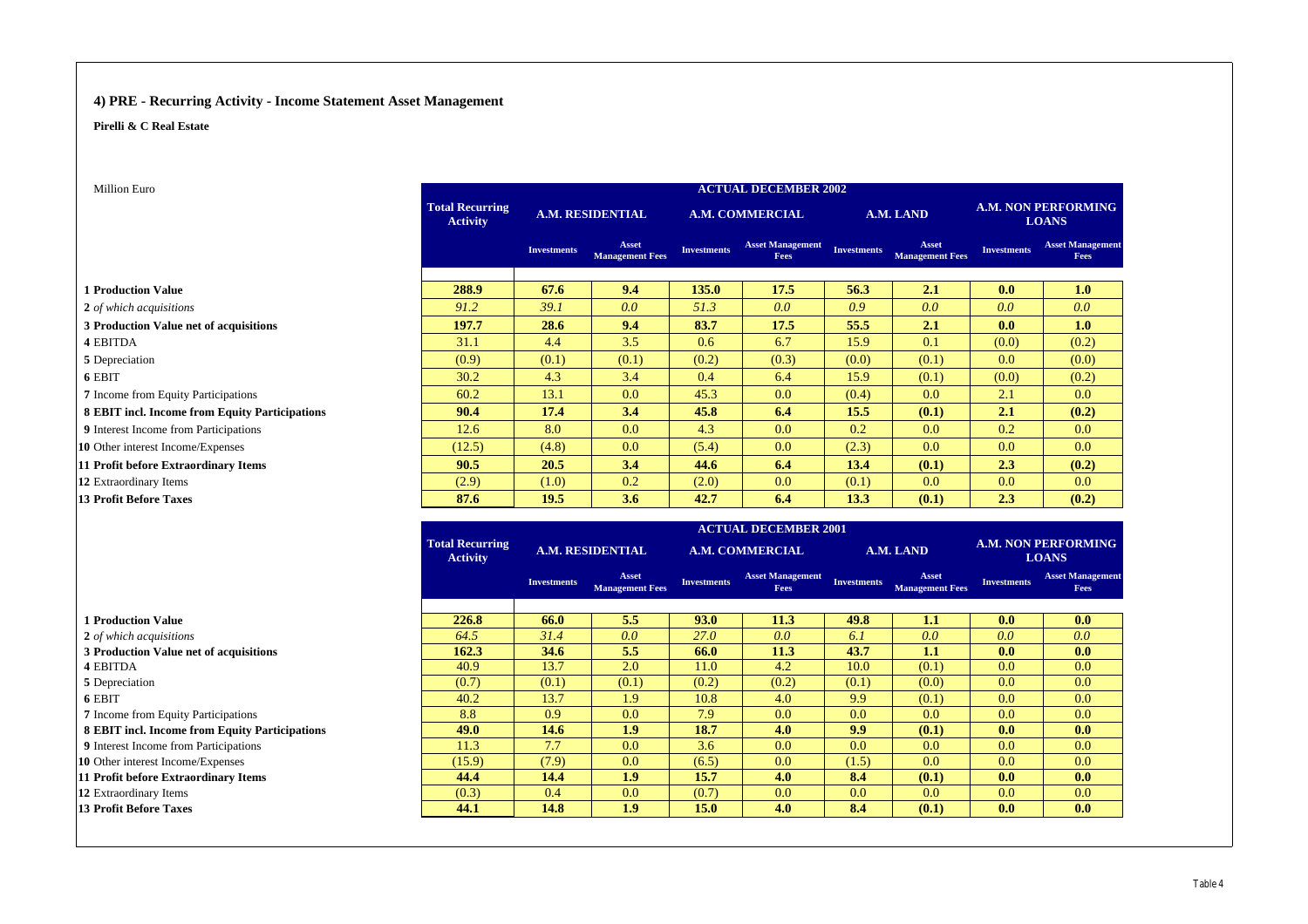#### **4) PRE - Recurring Activity - Income Statement Asset Management**

**Pirelli & C Real Estate**

| Million Euro                                   | <b>ACTUAL DECEMBER 2002</b>               |                                                                                      |                                 |                        |                                 |                    |                                 |                                            |                                 |
|------------------------------------------------|-------------------------------------------|--------------------------------------------------------------------------------------|---------------------------------|------------------------|---------------------------------|--------------------|---------------------------------|--------------------------------------------|---------------------------------|
|                                                | <b>Total Recurring</b><br><b>Activity</b> | <b>A.M. RESIDENTIAL</b>                                                              |                                 | <b>A.M. COMMERCIAL</b> |                                 | A.M. LAND          |                                 | <b>A.M. NON PERFORMING</b><br><b>LOANS</b> |                                 |
|                                                |                                           | <b>Investments</b>                                                                   | Asset<br><b>Management Fees</b> | <b>Investments</b>     | <b>Asset Management</b><br>Fees | <b>Investments</b> | Asset<br><b>Management Fees</b> | <b>Investments</b>                         | <b>Asset Management</b><br>Fees |
| <b>1 Production Value</b>                      | 288.9                                     | 67.6                                                                                 | 9.4                             | 135.0                  | 17.5                            | 56.3               | 2.1                             | 0.0                                        | 1.0                             |
| 2 of which acquisitions                        | 91.2                                      | 39.1                                                                                 | 0.0                             | 51.3                   | 0.0                             | 0.9                | 0.0                             | 0.0                                        | 0.0                             |
| 3 Production Value net of acquisitions         | 197.7                                     | 28.6                                                                                 | 9.4                             | 83.7                   | 17.5                            | 55.5               | 2.1                             | 0.0 <sub>1</sub>                           | 1.0                             |
| <b>4 EBITDA</b>                                | 31.1                                      | 4.4                                                                                  | 3.5                             | 0.6                    | 6.7                             | 15.9               | 0.1                             | (0.0)                                      | (0.2)                           |
| 5 Depreciation                                 | (0.9)                                     | (0.1)                                                                                | (0.1)                           | (0.2)                  | (0.3)                           | (0.0)              | (0.1)                           | 0.0                                        | (0.0)                           |
| 6 EBIT                                         | 30.2                                      | 4.3                                                                                  | 3.4                             | 0.4                    | 6.4                             | 15.9               | (0.1)                           | (0.0)                                      | (0.2)                           |
| 7 Income from Equity Participations            | 60.2                                      | 13.1                                                                                 | 0.0                             | 45.3                   | 0.0                             | (0.4)              | 0.0                             | 2.1                                        | 0.0                             |
| 8 EBIT incl. Income from Equity Participations | 90.4                                      | 17.4                                                                                 | 3.4                             | 45.8                   | 6.4                             | 15.5               | (0.1)                           | 2.1                                        | (0.2)                           |
| 9 Interest Income from Participations          | 12.6                                      | 8.0                                                                                  | 0.0                             | 4.3                    | 0.0                             | 0.2                | 0.0                             | 0.2                                        | 0.0                             |
| 10 Other interest Income/Expenses              | (12.5)                                    | (4.8)                                                                                | 0.0                             | (5.4)                  | 0.0                             | (2.3)              | 0.0                             | 0.0                                        | 0.0                             |
| 11 Profit before Extraordinary Items           | 90.5                                      | 20.5                                                                                 | 3.4                             | 44.6                   | 6.4                             | 13.4               | (0.1)                           | 2.3                                        | (0.2)                           |
| 12 Extraordinary Items                         | (2.9)                                     | (1.0)                                                                                | 0.2                             | (2.0)                  | 0.0                             | (0.1)              | 0.0                             | 0.0                                        | 0.0                             |
| <b>13 Profit Before Taxes</b>                  | 87.6                                      | 19.5                                                                                 | 3.6                             | 42.7                   | 6.4                             | 13.3               | (0.1)                           | 2.3                                        | (0.2)                           |
|                                                | <b>Total Recurring</b>                    | <b>ACTUAL DECEMBER 2001</b><br><b>A.M. NON PERFORMING</b><br><b>A.M. RESIDENTIAL</b> |                                 |                        |                                 |                    |                                 |                                            |                                 |
|                                                | <b>Activity</b>                           |                                                                                      |                                 |                        | <b>A.M. COMMERCIAL</b>          |                    | A.M. LAND                       |                                            | <b>LOANS</b>                    |

|                                                |        | <b>Investments</b> | Asset<br><b>Management Fees</b> | <b>Investments</b> | <b>Asset Management</b><br><b>Fees</b> | <b>Investments</b> | Asset<br><b>Management Fees</b> | <b>Investments</b> | <b>Asset Management</b><br><b>Fees</b> |
|------------------------------------------------|--------|--------------------|---------------------------------|--------------------|----------------------------------------|--------------------|---------------------------------|--------------------|----------------------------------------|
|                                                |        |                    |                                 |                    |                                        |                    |                                 |                    |                                        |
| 1 Production Value                             | 226.8  | 66.0               | 5.5                             | 93.0               | 11.3                                   | 49.8               | 1.1                             | 0.0                | 0.0                                    |
| 2 of which acquisitions                        | 64.5   | 31.4               | 0.0                             | <b>27.0</b>        | 0.0                                    | 6.1                | 0.0                             | 0.0                | 0.0                                    |
| 3 Production Value net of acquisitions         | 162.3  | 34.6               | 5.5                             | 66.0               | 11.3                                   | 43.7               | 1.1                             | 0.0 <sub>1</sub>   | 0.0                                    |
| <b>4 EBITDA</b>                                | 40.9   | 13.7               | 2.0                             | 11.0               | 4.2                                    | 10.0               | (0.1)                           | 0.0                | 0.0                                    |
| 5 Depreciation                                 | (0.7)  | (0.1)              | (0.1)                           | (0.2)              | (0.2)                                  | (0.1)              | (0.0)                           | 0.0                | 0.0                                    |
| 6 EBIT                                         | 40.2   | 13.7               | 1.9                             | 10.8               | 4.0                                    | 9.9                | (0.1)                           | 0.0                | 0.0                                    |
| 7 Income from Equity Participations            | 8.8    | 0.9                | 0.0                             | 7.9                | 0.0                                    | 0.0 <sub>1</sub>   | 0.0                             | 0.0                | 0.0                                    |
| 8 EBIT incl. Income from Equity Participations | 49.0   | 14.6               | 1.9 <sup>2</sup>                | 18.7               | 4.0                                    | 9.9                | (0.1)                           | 0.0 <sub>1</sub>   | 0.0                                    |
| 9 Interest Income from Participations          | 11.3   | 7.7                | 0.0                             | 3.6                | 0.0                                    | 0.0                | 0.0                             | 0.0                | 0.0                                    |
| 10 Other interest Income/Expenses              | (15.9) | (7.9)              | 0.0                             | (6.5)              | 0.0                                    | (1.5)              | 0.0                             | 0.0                | 0.0                                    |
| 11 Profit before Extraordinary Items           | 44.4   | 14.4               | 1.9                             | 15.7               | 4.0                                    | 8.4                | (0.1)                           | 0.0                | 0.0                                    |
| 12 Extraordinary Items                         | (0.3)  | 0.4                | 0.0                             | (0.7)              | 0.0                                    | 0.0                | 0.0 <sub>1</sub>                | 0.0                | 0.0                                    |
| 13 Profit Before Taxes                         | 44.1   | 14.8               | 1.9 <sup>2</sup>                | 15.0               | 4.0                                    | 8.4                | (0.1)                           | 0.0                | 0.0                                    |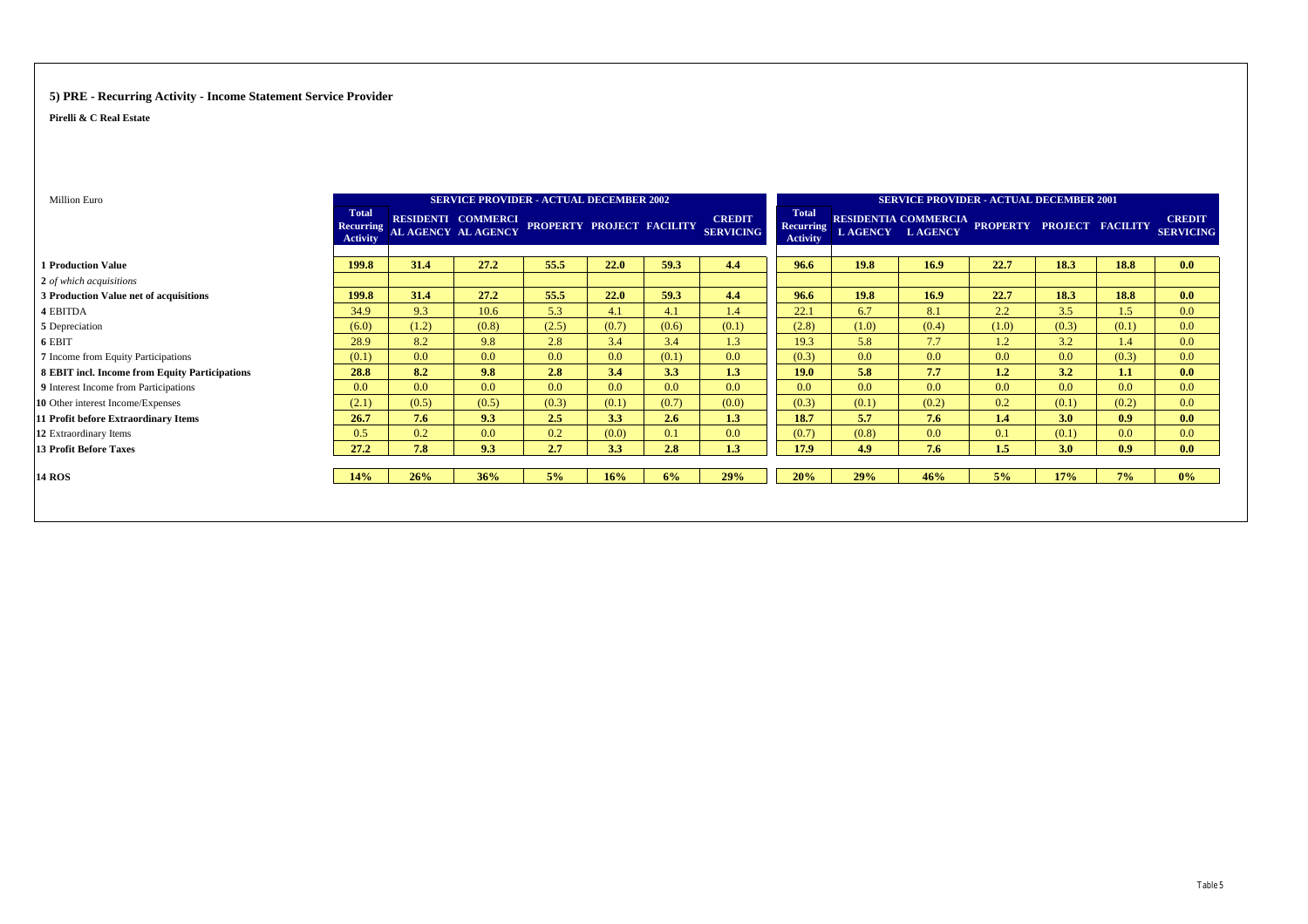#### **5) PRE - Recurring Activity - Income Statement Service Provider**

| Million Euro                                   |                                                     | <b>SERVICE PROVIDER - ACTUAL DECEMBER 2002</b> |                                                  |                           |       |       | <b>SERVICE PROVIDER - ACTUAL DECEMBER 2001</b> |                                              |                  |                        |                                                |                  |       |                                   |
|------------------------------------------------|-----------------------------------------------------|------------------------------------------------|--------------------------------------------------|---------------------------|-------|-------|------------------------------------------------|----------------------------------------------|------------------|------------------------|------------------------------------------------|------------------|-------|-----------------------------------|
|                                                | <b>Total</b><br><b>Recurring</b><br><b>Activity</b> |                                                | RESIDENTI COMMERCI<br><b>AL AGENCY AL AGENCY</b> | PROPERTY PROJECT FACILITY |       |       | <b>CREDIT</b><br><b>SERVICING</b>              | <b>Total</b><br>Recurring<br><b>Activity</b> |                  | <b>LAGENCY LAGENCY</b> | RESIDENTIA COMMERCIA PROPERTY PROJECT FACILITY |                  |       | <b>CREDIT</b><br><b>SERVICING</b> |
| <b>1 Production Value</b>                      | 199.8                                               | 31.4                                           | 27.2                                             | 55.5                      | 22.0  | 59.3  | 4.4                                            | 96.6                                         | 19.8             | 16.9                   | 22.7                                           | 18.3             | 18.8  | 0.0                               |
| 2 of which acquisitions                        |                                                     |                                                |                                                  |                           |       |       |                                                |                                              |                  |                        |                                                |                  |       |                                   |
| 3 Production Value net of acquisitions         | 199.8                                               | 31.4                                           | 27.2                                             | 55.5                      | 22.0  | 59.3  | 4.4                                            | 96.6                                         | 19.8             | 16.9                   | 22.7                                           | 18.3             | 18.8  | 0.0                               |
| 4 EBITDA                                       | 34.9                                                | 9.3                                            | 10.6                                             | 5.3                       | 4.1   | 4.1   | 1.4                                            | 22.1                                         | 6.7              | 8.1                    | 2.2                                            | 3.5              | 1.5   | 0.0                               |
| 5 Depreciation                                 | (6.0)                                               | (1.2)                                          | (0.8)                                            | (2.5)                     | (0.7) | (0.6) | (0.1)                                          | (2.8)                                        | (1.0)            | (0.4)                  | (1.0)                                          | (0.3)            | (0.1) | 0.0                               |
| 6 EBIT                                         | 28.9                                                | 8.2                                            | 9.8                                              | 2.8                       | 3.4   | 3.4   | 1.3                                            | 19.3                                         | 5.8              | 7.7                    | 1.2                                            | 3.2              | 1.4   | 0.0                               |
| 7 Income from Equity Participations            | (0.1)                                               | 0.0 <sub>1</sub>                               | 0.0                                              | 0.0                       | 0.0   | (0.1) | 0.0                                            | (0.3)                                        | 0.0 <sub>1</sub> | 0.0                    | 0.0                                            | 0.0 <sub>1</sub> | (0.3) | 0.0                               |
| 8 EBIT incl. Income from Equity Participations | 28.8                                                | 8.2                                            | 9.8                                              | 2.8                       | 3.4   | 3.3   | 1.3                                            | 19.0                                         | 5.8              | 7.7                    | 1.2                                            | 3.2              | 1.1   | 0.0                               |
| 9 Interest Income from Participations          | 0.0                                                 | 0.0                                            | 0.0                                              | 0.0                       | 0.0   | 0.0   | 0.0                                            | 0.0                                          | 0.0 <sub>1</sub> | 0.0                    | 0.0                                            | 0.0              | 0.0   | 0.0                               |
| 10 Other interest Income/Expenses              | (2.1)                                               | (0.5)                                          | (0.5)                                            | (0.3)                     | (0.1) | (0.7) | (0.0)                                          | (0.3)                                        | (0.1)            | (0.2)                  | 0.2                                            | (0.1)            | (0.2) | 0.0                               |
| 11 Profit before Extraordinary Items           | 26.7                                                | 7.6                                            | 9.3                                              | 2.5                       | 3.3   | 2.6   | 1.3                                            | 18.7                                         | 5.7              | 7.6                    | 1.4                                            | 3.0              | 0.9   | 0.0                               |
| 12 Extraordinary Items                         | 0.5                                                 | 0.2                                            | 0.0                                              | 0.2                       | (0.0) | 0.1   | 0.0                                            | (0.7)                                        | (0.8)            | 0.0                    | 0.1                                            | (0.1)            | 0.0   | 0.0                               |
| <b>13 Profit Before Taxes</b>                  | 27.2                                                | 7.8                                            | 9.3                                              | 2.7                       | 3.3   | 2.8   | 1.3                                            | 17.9                                         | 4.9              | 7.6                    | 1.5                                            | 3.0              | 0.9   | 0.0                               |
| <b>14 ROS</b>                                  | 14%                                                 | 26%                                            | 36%                                              | 5%                        | 16%   | 6%    | 29%                                            | 20%                                          | 29%              | 46%                    | 5%                                             | 17%              | 7%    | $0\%$                             |
|                                                |                                                     |                                                |                                                  |                           |       |       |                                                |                                              |                  |                        |                                                |                  |       |                                   |
|                                                |                                                     |                                                |                                                  |                           |       |       |                                                |                                              |                  |                        |                                                |                  |       |                                   |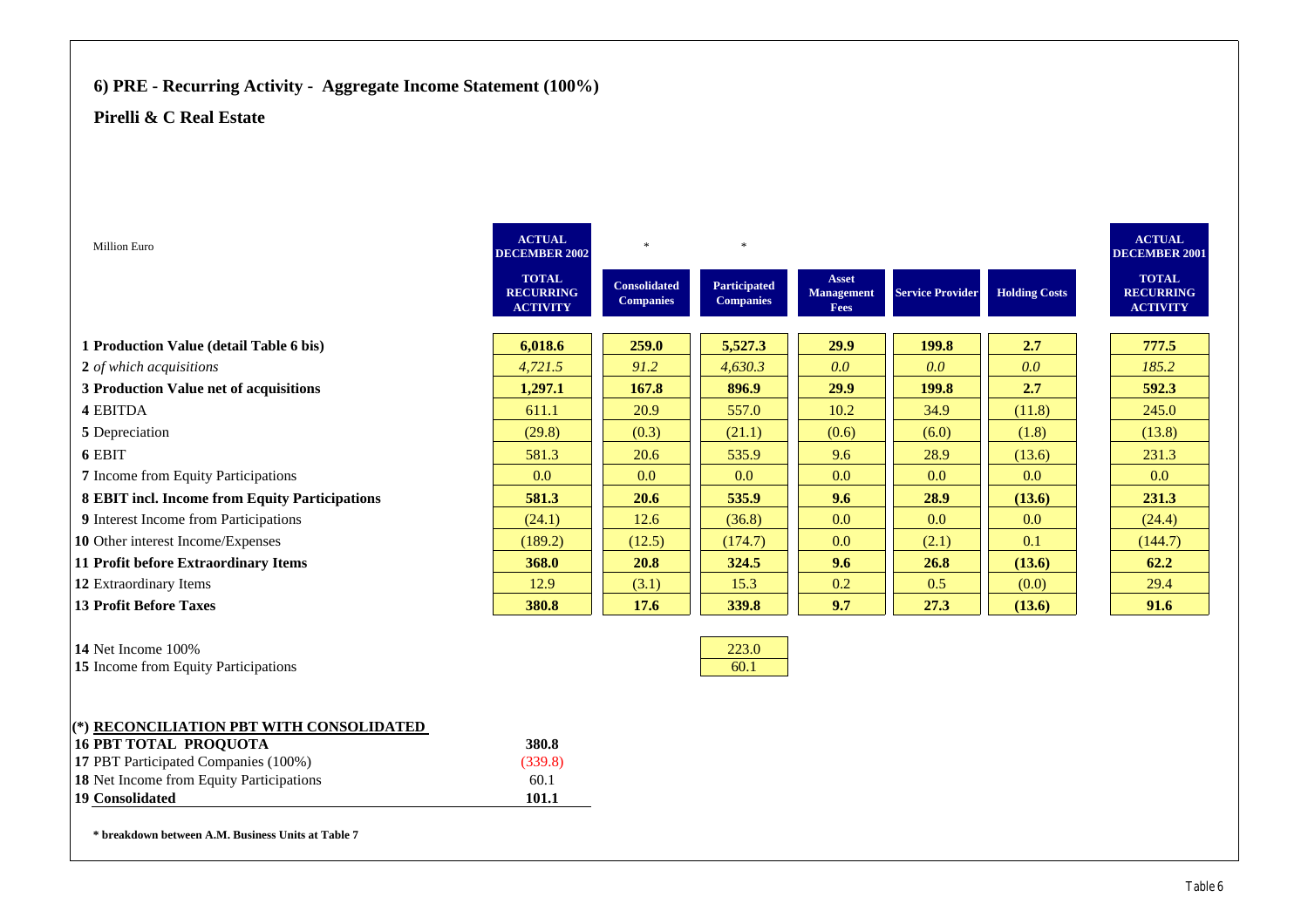# **6) PRE - Recurring Activity - Aggregate Income Statement (100%)**

### **Pirelli & C Real Estate**

| Million Euro                                   | <b>ACTUAL</b><br><b>DECEMBER 2002</b>               | $\ast$                                  | $\ast$                                  |                                    |                         |                      | <b>ACTUAL</b><br><b>DECEMBER 2001</b>               |
|------------------------------------------------|-----------------------------------------------------|-----------------------------------------|-----------------------------------------|------------------------------------|-------------------------|----------------------|-----------------------------------------------------|
|                                                | <b>TOTAL</b><br><b>RECURRING</b><br><b>ACTIVITY</b> | <b>Consolidated</b><br><b>Companies</b> | <b>Participated</b><br><b>Companies</b> | Asset<br><b>Management</b><br>Fees | <b>Service Provider</b> | <b>Holding Costs</b> | <b>TOTAL</b><br><b>RECURRING</b><br><b>ACTIVITY</b> |
| 1 Production Value (detail Table 6 bis)        | 6,018.6                                             | 259.0                                   | 5,527.3                                 | 29.9                               | 199.8                   | 2.7                  | 777.5                                               |
| 2 of which acquisitions                        | 4,721.5                                             | 91.2                                    | 4,630.3                                 | 0.0                                | 0.0                     | 0.0                  | 185.2                                               |
| 3 Production Value net of acquisitions         | 1,297.1                                             | 167.8                                   | 896.9                                   | 29.9                               | 199.8                   | 2.7                  | 592.3                                               |
| 4 EBITDA                                       | 611.1                                               | 20.9                                    | 557.0                                   | 10.2                               | 34.9                    | (11.8)               | 245.0                                               |
| 5 Depreciation                                 | (29.8)                                              | (0.3)                                   | (21.1)                                  | (0.6)                              | (6.0)                   | (1.8)                | (13.8)                                              |
| 6 EBIT                                         | 581.3                                               | 20.6                                    | 535.9                                   | 9.6                                | 28.9                    | (13.6)               | 231.3                                               |
| 7 Income from Equity Participations            | 0.0                                                 | 0.0                                     | 0.0                                     | 0.0                                | 0.0                     | 0.0                  | 0.0                                                 |
| 8 EBIT incl. Income from Equity Participations | 581.3                                               | 20.6                                    | 535.9                                   | 9.6                                | 28.9                    | (13.6)               | 231.3                                               |
| 9 Interest Income from Participations          | (24.1)                                              | 12.6                                    | (36.8)                                  | 0.0                                | 0.0                     | 0.0                  | (24.4)                                              |
| 10 Other interest Income/Expenses              | (189.2)                                             | (12.5)                                  | (174.7)                                 | 0.0                                | (2.1)                   | 0.1                  | (144.7)                                             |
| 11 Profit before Extraordinary Items           | 368.0                                               | 20.8                                    | 324.5                                   | 9.6                                | 26.8                    | (13.6)               | 62.2                                                |
| 12 Extraordinary Items                         | 12.9                                                | (3.1)                                   | 15.3                                    | 0.2                                | 0.5                     | (0.0)                | 29.4                                                |
| <b>13 Profit Before Taxes</b>                  | 380.8                                               | 17.6                                    | 339.8                                   | 9.7                                | 27.3                    | (13.6)               | 91.6                                                |
|                                                |                                                     |                                         |                                         |                                    |                         |                      |                                                     |
| 14 Net Income 100%                             |                                                     |                                         | 223.0                                   |                                    |                         |                      |                                                     |
| 15 Income from Equity Participations           |                                                     |                                         | 60.1                                    |                                    |                         |                      |                                                     |
|                                                |                                                     |                                         |                                         |                                    |                         |                      |                                                     |
| (*) RECONCILIATION PBT WITH CONSOLIDATED       |                                                     |                                         |                                         |                                    |                         |                      |                                                     |
| 16 ΡΒΤ ΤΩΤΛΙ ΡΡΩΩΠΩΤΛ                          | 380 R                                               |                                         |                                         |                                    |                         |                      |                                                     |

| <b>16 PBT TOTAL PROOUOTA</b>                    | 380.8   |
|-------------------------------------------------|---------|
| <b>17 PBT Participated Companies (100%)</b>     | (339.8) |
| <b>18</b> Net Income from Equity Participations | 60.1    |
| <b>19 Consolidated</b>                          | 101.1   |

**\* breakdown between A.M. Business Units at Table 7**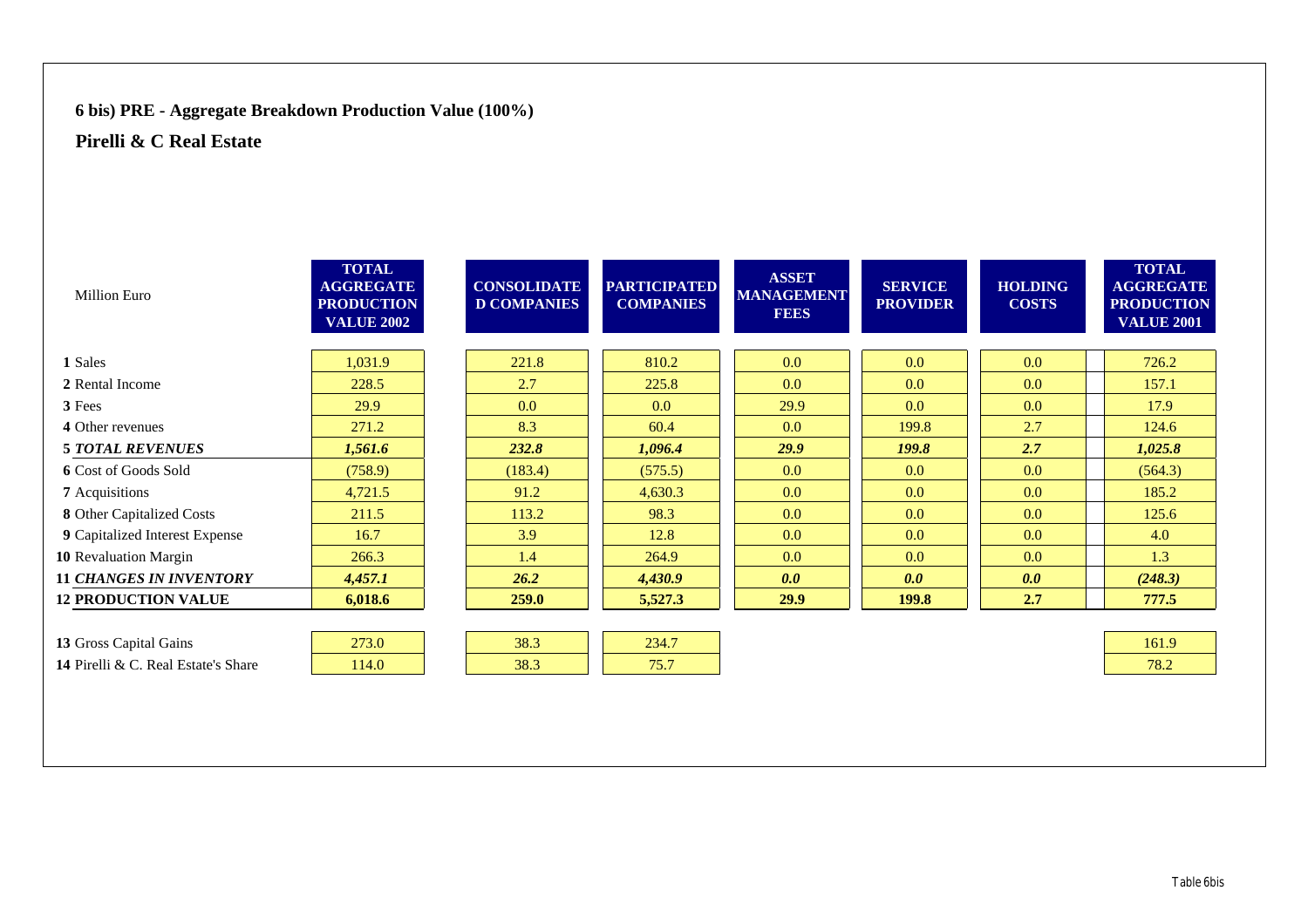## **6 bis) PRE - Aggregate Breakdown Production Value (100%)**

| <b>Million Euro</b>                 | <b>TOTAL</b><br><b>AGGREGATE</b><br><b>PRODUCTION</b><br><b>VALUE 2002</b> | <b>CONSOLIDATE</b><br><b>D COMPANIES</b> | <b>PARTICIPATED</b><br><b>COMPANIES</b> | <b>ASSET</b><br><b>MANAGEMENT</b><br><b>FEES</b> | <b>SERVICE</b><br><b>PROVIDER</b> | <b>HOLDING</b><br><b>COSTS</b> | <b>TOTAL</b><br><b>AGGREGATE</b><br><b>PRODUCTION</b><br><b>VALUE 2001</b> |
|-------------------------------------|----------------------------------------------------------------------------|------------------------------------------|-----------------------------------------|--------------------------------------------------|-----------------------------------|--------------------------------|----------------------------------------------------------------------------|
| 1 Sales                             | 1,031.9                                                                    | 221.8                                    | 810.2                                   | 0.0                                              | 0.0                               | 0.0                            | 726.2                                                                      |
| 2 Rental Income                     | 228.5                                                                      | 2.7                                      | 225.8                                   | 0.0                                              | 0.0                               | 0.0                            | 157.1                                                                      |
| 3 Fees                              | 29.9                                                                       | 0.0                                      | 0.0                                     | 29.9                                             | 0.0                               | 0.0                            | 17.9                                                                       |
| 4 Other revenues                    | 271.2                                                                      | 8.3                                      | 60.4                                    | 0.0                                              | 199.8                             | 2.7                            | 124.6                                                                      |
| <b>5 TOTAL REVENUES</b>             | 1,561.6                                                                    | 232.8                                    | 1,096.4                                 | 29.9                                             | <b>199.8</b>                      | 2.7                            | 1,025.8                                                                    |
| <b>6</b> Cost of Goods Sold         | (758.9)                                                                    | (183.4)                                  | (575.5)                                 | 0.0                                              | 0.0                               | 0.0                            | (564.3)                                                                    |
| 7 Acquisitions                      | 4,721.5                                                                    | 91.2                                     | 4,630.3                                 | 0.0                                              | 0.0                               | 0.0                            | 185.2                                                                      |
| 8 Other Capitalized Costs           | 211.5                                                                      | 113.2                                    | 98.3                                    | 0.0                                              | 0.0                               | 0.0                            | 125.6                                                                      |
| 9 Capitalized Interest Expense      | 16.7                                                                       | 3.9                                      | 12.8                                    | 0.0                                              | 0.0                               | 0.0                            | 4.0                                                                        |
| 10 Revaluation Margin               | 266.3                                                                      | 1.4                                      | 264.9                                   | 0.0                                              | 0.0                               | 0.0                            | 1.3                                                                        |
| <b>11 CHANGES IN INVENTORY</b>      | 4,457.1                                                                    | 26.2                                     | 4,430.9                                 | 0.0                                              | 0.0                               | 0.0                            | (248.3)                                                                    |
| <b>12 PRODUCTION VALUE</b>          | 6,018.6                                                                    | 259.0                                    | 5,527.3                                 | 29.9                                             | 199.8                             | 2.7                            | 777.5                                                                      |
|                                     |                                                                            |                                          |                                         |                                                  |                                   |                                |                                                                            |
| 13 Gross Capital Gains              | 273.0                                                                      | 38.3                                     | 234.7                                   |                                                  |                                   |                                | 161.9                                                                      |
| 14 Pirelli & C. Real Estate's Share | 114.0                                                                      | 38.3                                     | 75.7                                    |                                                  |                                   |                                | 78.2                                                                       |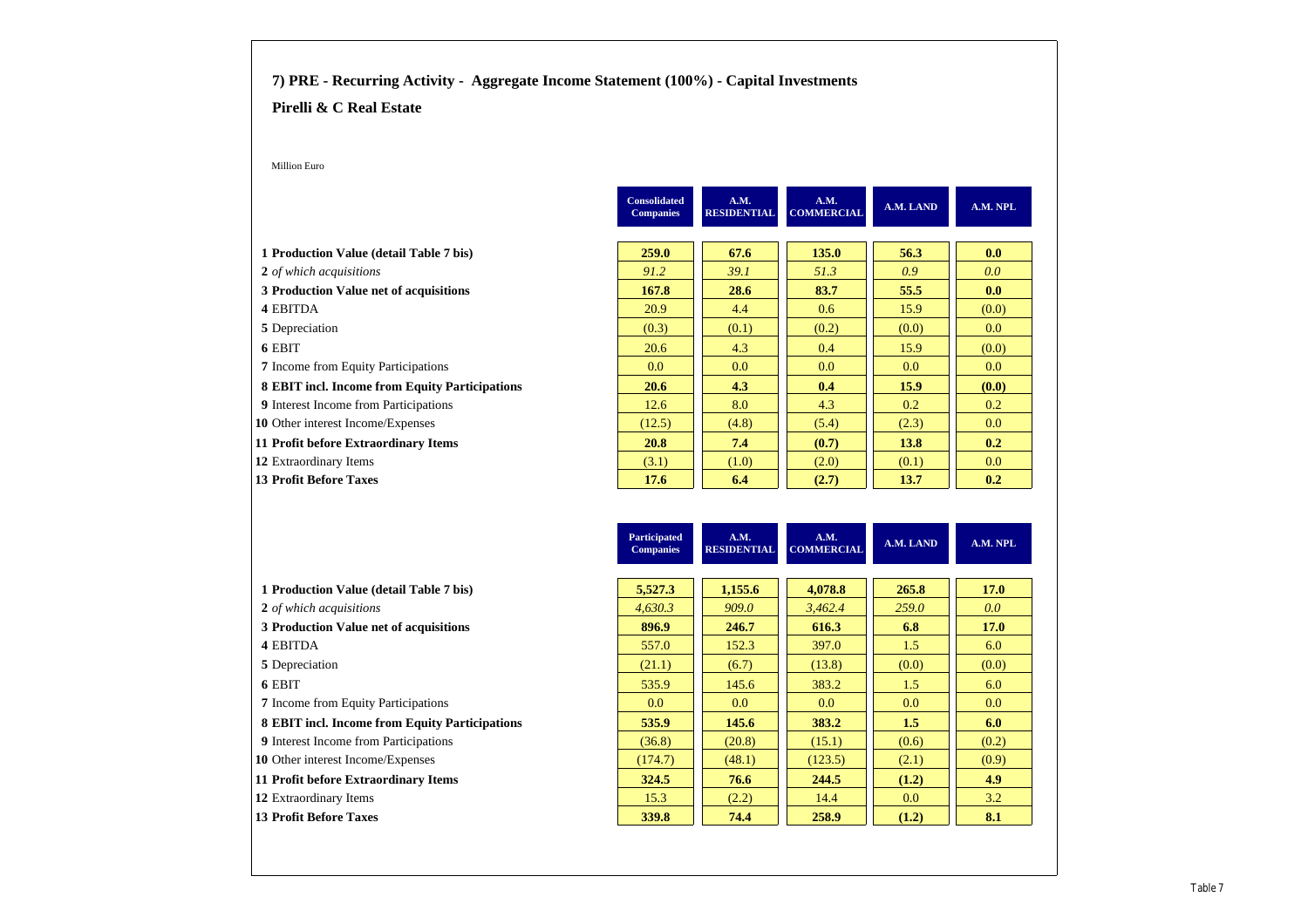#### **7) PRE - Recurring Activity - Aggregate Income Statement (100%) - Capital Investments**

#### **Pirelli & C Real Estate**

Million Euro

|                                                | <b>Consolidated</b><br><b>Companies</b> | A.M.<br><b>RESIDENTIAL</b> | A.M.<br><b>COMMERCIAL</b> | A.M. LAND | A.M. NPL         |
|------------------------------------------------|-----------------------------------------|----------------------------|---------------------------|-----------|------------------|
|                                                |                                         |                            |                           |           |                  |
| 1 Production Value (detail Table 7 bis)        | 259.0                                   | 67.6                       | 135.0                     | 56.3      | 0.0              |
| 2 of which acquisitions                        | 91.2                                    | 39.1                       | 51.3                      | 0.9       | 0.0 <sub>1</sub> |
| 3 Production Value net of acquisitions         | 167.8                                   | 28.6                       | 83.7                      | 55.5      | 0.0              |
| 4 EBITDA                                       | 20.9                                    | 4.4                        | 0.6                       | 15.9      | (0.0)            |
| 5 Depreciation                                 | (0.3)                                   | (0.1)                      | (0.2)                     | (0.0)     | 0.0              |
| 6 EBIT                                         | 20.6                                    | 4.3                        | 0.4                       | 15.9      | (0.0)            |
| <b>7</b> Income from Equity Participations     | 0.0 <sub>1</sub>                        | 0.0 <sub>1</sub>           | 0.0                       | 0.0       | 0.0              |
| 8 EBIT incl. Income from Equity Participations | 20.6                                    | 4.3                        | 0.4                       | 15.9      | (0.0)            |
| <b>9</b> Interest Income from Participations   | 12.6                                    | 8.0                        | 4.3                       | 0.2       | 0.2              |
| 10 Other interest Income/Expenses              | (12.5)                                  | (4.8)                      | (5.4)                     | (2.3)     | 0.0              |
| 11 Profit before Extraordinary Items           | <b>20.8</b>                             | 7.4                        | (0.7)                     | 13.8      | 0.2              |
| 12 Extraordinary Items                         | (3.1)                                   | (1.0)                      | (2.0)                     | (0.1)     | 0.0              |
| <b>13 Profit Before Taxes</b>                  | 17.6                                    | 6.4                        | (2.7)                     | 13.7      | 0.2              |

|                                                | <b>Participated</b><br><b>Companies</b> | A.M.<br><b>RESIDENTIAL</b> | A.M.<br><b>COMMERCIAL</b> | A.M. LAND        | A.M. NPL         |
|------------------------------------------------|-----------------------------------------|----------------------------|---------------------------|------------------|------------------|
|                                                |                                         |                            |                           |                  |                  |
| 1 Production Value (detail Table 7 bis)        | 5,527.3                                 | 1,155.6                    | 4,078.8                   | 265.8            | <b>17.0</b>      |
| 2 of which acquisitions                        | 4.630.3                                 | 909.0                      | 3.462.4                   | 259.0            | 0.0 <sub>1</sub> |
| 3 Production Value net of acquisitions         | 896.9                                   | 246.7                      | 616.3                     | 6.8              | <b>17.0</b>      |
| 4 EBITDA                                       | 557.0                                   | 152.3                      | 397.0                     | 1.5              | 6.0              |
| 5 Depreciation                                 | (21.1)                                  | (6.7)                      | (13.8)                    | (0.0)            | (0.0)            |
| 6 EBIT                                         | 535.9                                   | 145.6                      | 383.2                     | 1.5              | 6.0              |
| <b>7</b> Income from Equity Participations     | 0.0                                     | 0.0                        | 0.0                       | 0.0              | 0.0              |
| 8 EBIT incl. Income from Equity Participations | 535.9                                   | 145.6                      | 383.2                     | 1.5              | 6.0              |
| <b>9</b> Interest Income from Participations   | (36.8)                                  | (20.8)                     | (15.1)                    | (0.6)            | (0.2)            |
| <b>10</b> Other interest Income/Expenses       | (174.7)                                 | (48.1)                     | (123.5)                   | (2.1)            | (0.9)            |
| 11 Profit before Extraordinary Items           | 324.5                                   | 76.6                       | 244.5                     | (1.2)            | 4.9              |
| 12 Extraordinary Items                         | 15.3                                    | (2.2)                      | 14.4                      | 0.0 <sub>1</sub> | 3.2              |
| <b>13 Profit Before Taxes</b>                  | 339.8                                   | 74.4                       | 258.9                     | (1.2)            | 8.1              |

| 1 Production Value (detail Table 7 bis)      |
|----------------------------------------------|
| 2 of which acquisitions                      |
| 3 Production Value net of acquisitions       |
| <b>4 EBITDA</b>                              |
| 5 Depreciation                               |
| 6 EBIT                                       |
| <b>7</b> Income from Equity Participations   |
| 8 EBIT incl. Income from Equity Particip     |
| <b>9</b> Interest Income from Participations |
| <b>10</b> Other interest Income/Expenses     |
| 11 Profit before Extraordinary Items         |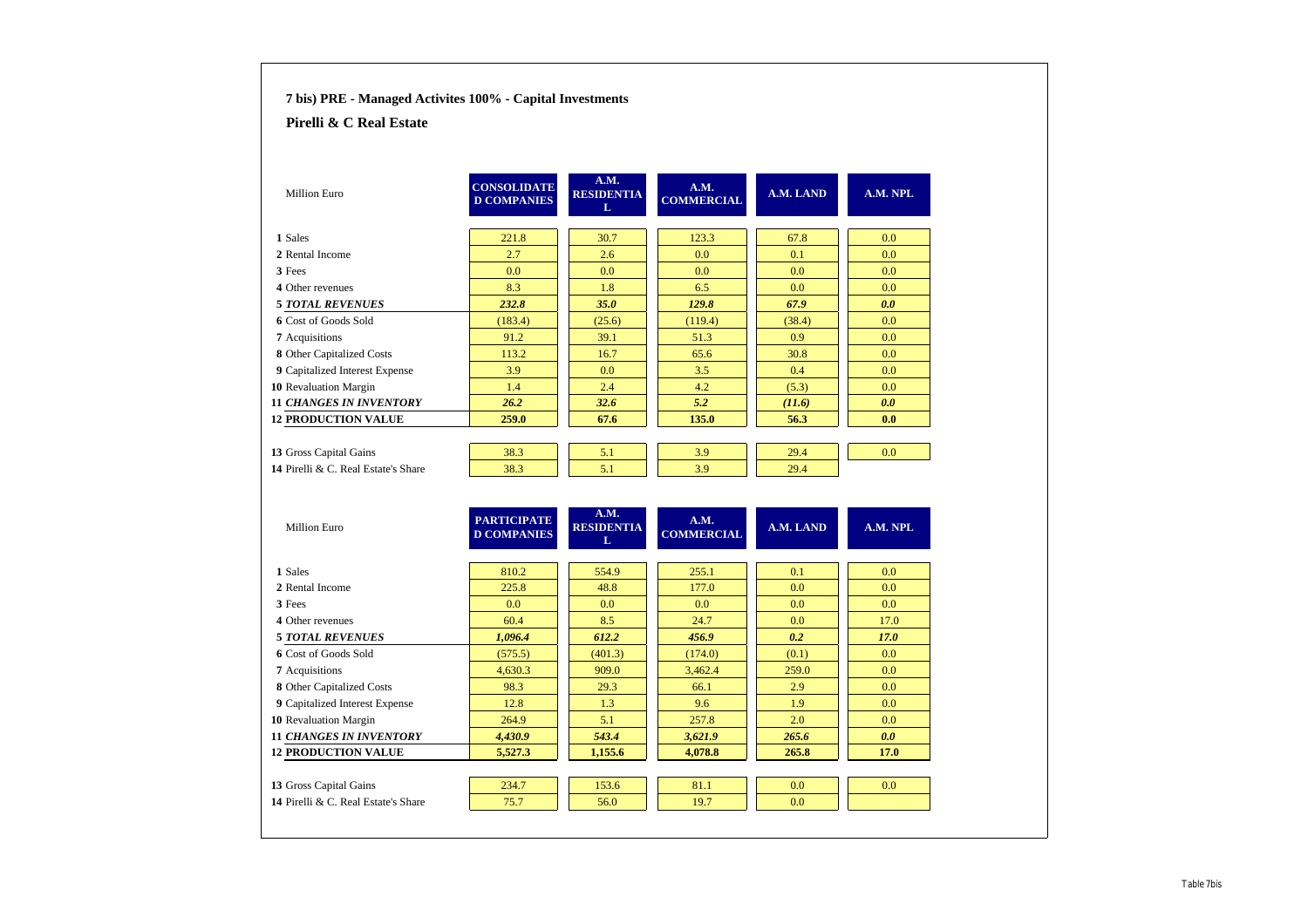| 7 bis) PRE - Managed Activites 100% - Capital Investments |                                          |                                |                           |           |          |
|-----------------------------------------------------------|------------------------------------------|--------------------------------|---------------------------|-----------|----------|
| Pirelli & C Real Estate                                   |                                          |                                |                           |           |          |
|                                                           |                                          |                                |                           |           |          |
| Million Euro                                              | <b>CONSOLIDATE</b><br><b>D COMPANIES</b> | A.M.<br><b>RESIDENTIA</b><br>L | A.M.<br><b>COMMERCIAL</b> | A.M. LAND | A.M. NPL |
| 1 Sales                                                   | 221.8                                    | 30.7                           | 123.3                     | 67.8      | 0.0      |
| 2 Rental Income                                           | 2.7                                      | 2.6                            | 0.0                       | 0.1       | 0.0      |
| 3 Fees                                                    | 0.0                                      | 0.0                            | 0.0                       | 0.0       | 0.0      |
| 4 Other revenues                                          | 8.3                                      | 1.8                            | 6.5                       | 0.0       | 0.0      |
| <b>5 TOTAL REVENUES</b>                                   | 232.8                                    | 35.0                           | 129.8                     | 67.9      | 0.0      |
| 6 Cost of Goods Sold                                      | (183.4)                                  | (25.6)                         | (119.4)                   | (38.4)    | 0.0      |
| 7 Acquisitions                                            | 91.2                                     | 39.1                           | 51.3                      | 0.9       | 0.0      |
| 8 Other Capitalized Costs                                 | 113.2                                    | 16.7                           | 65.6                      | 30.8      | 0.0      |
| 9 Capitalized Interest Expense                            | 3.9                                      | 0.0                            | 3.5                       | 0.4       | 0.0      |
| 10 Revaluation Margin                                     | 1.4                                      | 2.4                            | 4.2                       | (5.3)     | 0.0      |
| <b>11 CHANGES IN INVENTORY</b>                            | 26.2                                     | 32.6                           | 5.2                       | (11.6)    | 0.0      |
| <b>12 PRODUCTION VALUE</b>                                | 259.0                                    | 67.6                           | 135.0                     | 56.3      | 0.0      |
|                                                           |                                          |                                |                           |           |          |
| 13 Gross Capital Gains                                    | 38.3                                     | 5.1                            | 3.9                       | 29.4      | 0.0      |
| 14 Pirelli & C. Real Estate's Share                       | 38.3                                     | 5.1                            | 3.9                       | 29.4      |          |
| <b>Million Euro</b>                                       | <b>PARTICIPATE</b><br><b>D COMPANIES</b> | A.M.<br><b>RESIDENTIA</b><br>L | A.M.<br><b>COMMERCIAL</b> | A.M. LAND | A.M. NPL |
| 1 Sales                                                   | 810.2                                    | 554.9                          | 255.1                     | 0.1       | 0.0      |
| 2 Rental Income                                           | 225.8                                    | 48.8                           | 177.0                     | 0.0       | 0.0      |
| 3 Fees                                                    | 0.0                                      | 0.0                            | 0.0                       | 0.0       | 0.0      |
| 4 Other revenues                                          | 60.4                                     | 8.5                            | 24.7                      | 0.0       | 17.0     |
| <b>5 TOTAL REVENUES</b>                                   | 1,096.4                                  | 612.2                          | 456.9                     | 0.2       | 17.0     |
| 6 Cost of Goods Sold                                      | (575.5)                                  | (401.3)                        | (174.0)                   | (0.1)     | 0.0      |
| 7 Acquisitions                                            | 4.630.3                                  | 909.0                          | 3.462.4                   | 259.0     | 0.0      |
| 8 Other Capitalized Costs                                 | 98.3                                     | 29.3                           | 66.1                      | 2.9       | 0.0      |
| 9 Capitalized Interest Expense                            | 12.8                                     | 1.3                            | 9.6                       | 1.9       | 0.0      |
| 10 Revaluation Margin                                     | 264.9                                    | 5.1                            | 257.8                     | 2.0       | 0.0      |
| <b>11 CHANGES IN INVENTORY</b>                            | 4,430.9                                  | 543.4                          | 3,621.9                   | 265.6     | 0.0      |
| <b>12 PRODUCTION VALUE</b>                                | 5,527.3                                  | 1,155.6                        | 4.078.8                   | 265.8     | 17.0     |
|                                                           |                                          |                                |                           |           |          |
|                                                           |                                          |                                |                           |           |          |
| 13 Gross Capital Gains                                    | 234.7                                    | 153.6                          | 81.1                      | 0.0       | 0.0      |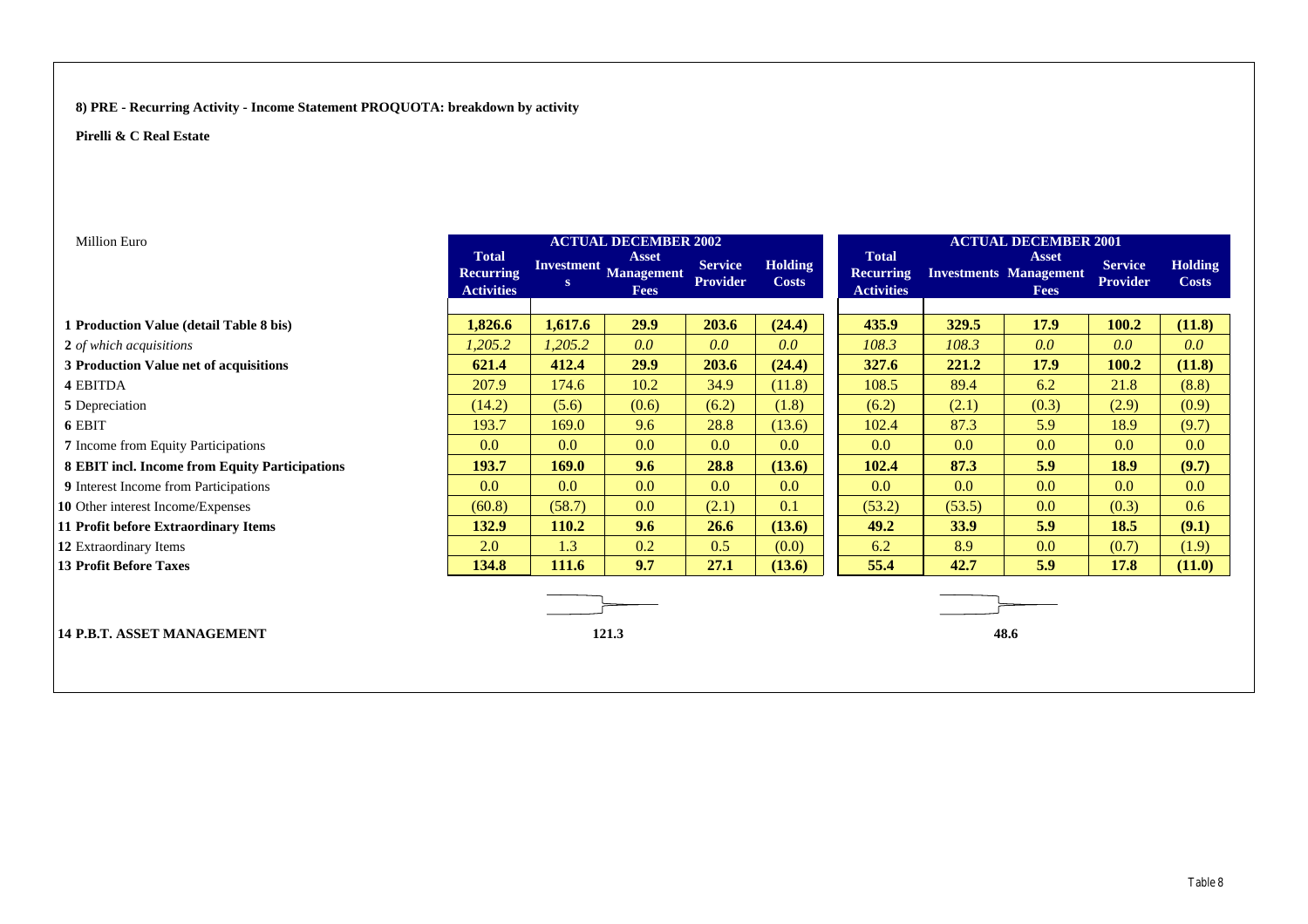#### **8) PRE - Recurring Activity - Income Statement PROQUOTA: breakdown by activity**

| Million Euro                                   |                                                       |         | <b>ACTUAL DECEMBER 2002</b>                          |                                   |                                |                                                       |        | <b>ACTUAL DECEMBER 2001</b>                                  |                                   |                                |
|------------------------------------------------|-------------------------------------------------------|---------|------------------------------------------------------|-----------------------------------|--------------------------------|-------------------------------------------------------|--------|--------------------------------------------------------------|-----------------------------------|--------------------------------|
|                                                | <b>Total</b><br><b>Recurring</b><br><b>Activities</b> | S       | <b>Asset</b><br>Investment Management<br><b>Fees</b> | <b>Service</b><br><b>Provider</b> | <b>Holding</b><br><b>Costs</b> | <b>Total</b><br><b>Recurring</b><br><b>Activities</b> |        | <b>Asset</b><br><b>Investments Management</b><br><b>Fees</b> | <b>Service</b><br><b>Provider</b> | <b>Holding</b><br><b>Costs</b> |
|                                                |                                                       |         |                                                      |                                   |                                |                                                       |        |                                                              |                                   |                                |
| 1 Production Value (detail Table 8 bis)        | 1,826.6                                               | 1,617.6 | 29.9                                                 | 203.6                             | (24.4)                         | 435.9                                                 | 329.5  | 17.9                                                         | 100.2                             | (11.8)                         |
| 2 of which acquisitions                        | 1,205.2                                               | 1,205.2 | 0.0                                                  | 0.0 <sub>1</sub>                  | 0.0                            | 108.3                                                 | 108.3  | 0.0 <sub>1</sub>                                             | 0.0                               | 0.0                            |
| 3 Production Value net of acquisitions         | 621.4                                                 | 412.4   | <b>29.9</b>                                          | 203.6                             | (24.4)                         | 327.6                                                 | 221.2  | <b>17.9</b>                                                  | 100.2                             | (11.8)                         |
| 4 EBITDA                                       | 207.9                                                 | 174.6   | 10.2                                                 | 34.9                              | (11.8)                         | 108.5                                                 | 89.4   | 6.2                                                          | 21.8                              | (8.8)                          |
| 5 Depreciation                                 | (14.2)                                                | (5.6)   | (0.6)                                                | (6.2)                             | (1.8)                          | (6.2)                                                 | (2.1)  | (0.3)                                                        | (2.9)                             | (0.9)                          |
| 6 EBIT                                         | 193.7                                                 | 169.0   | 9.6                                                  | 28.8                              | (13.6)                         | 102.4                                                 | 87.3   | 5.9                                                          | 18.9                              | (9.7)                          |
| 7 Income from Equity Participations            | 0.0 <sub>1</sub>                                      | 0.0     | 0.0 <sub>1</sub>                                     | 0.0                               | 0.0                            | 0.0 <sub>1</sub>                                      | 0.0    | 0.0                                                          | 0.0                               | 0.0                            |
| 8 EBIT incl. Income from Equity Participations | 193.7                                                 | 169.0   | 9.6                                                  | 28.8                              | (13.6)                         | 102.4                                                 | 87.3   | 5.9                                                          | 18.9                              | (9.7)                          |
| 9 Interest Income from Participations          | 0.0                                                   | $0.0\,$ | 0.0                                                  | $0.0\,$                           | 0.0                            | 0.0 <sub>1</sub>                                      | 0.0    | 0.0                                                          | 0.0                               | 0.0                            |
| 10 Other interest Income/Expenses              | (60.8)                                                | (58.7)  | 0.0                                                  | (2.1)                             | 0.1                            | (53.2)                                                | (53.5) | 0.0                                                          | (0.3)                             | 0.6                            |
| 11 Profit before Extraordinary Items           | 132.9                                                 | 110.2   | 9.6                                                  | 26.6                              | (13.6)                         | 49.2                                                  | 33.9   | 5.9                                                          | 18.5                              | (9.1)                          |
| 12 Extraordinary Items                         | 2.0                                                   | 1.3     | 0.2                                                  | 0.5                               | (0.0)                          | 6.2                                                   | 8.9    | 0.0                                                          | (0.7)                             | (1.9)                          |
| <b>13 Profit Before Taxes</b>                  | 134.8                                                 | 111.6   | 9.7                                                  | 27.1                              | (13.6)                         | 55.4                                                  | 42.7   | 5.9                                                          | 17.8                              | (11.0)                         |
|                                                |                                                       |         |                                                      |                                   |                                |                                                       |        |                                                              |                                   |                                |
| <b>14 P.B.T. ASSET MANAGEMENT</b>              |                                                       |         | 121.3                                                |                                   |                                |                                                       |        | 48.6                                                         |                                   |                                |
|                                                |                                                       |         |                                                      |                                   |                                |                                                       |        |                                                              |                                   |                                |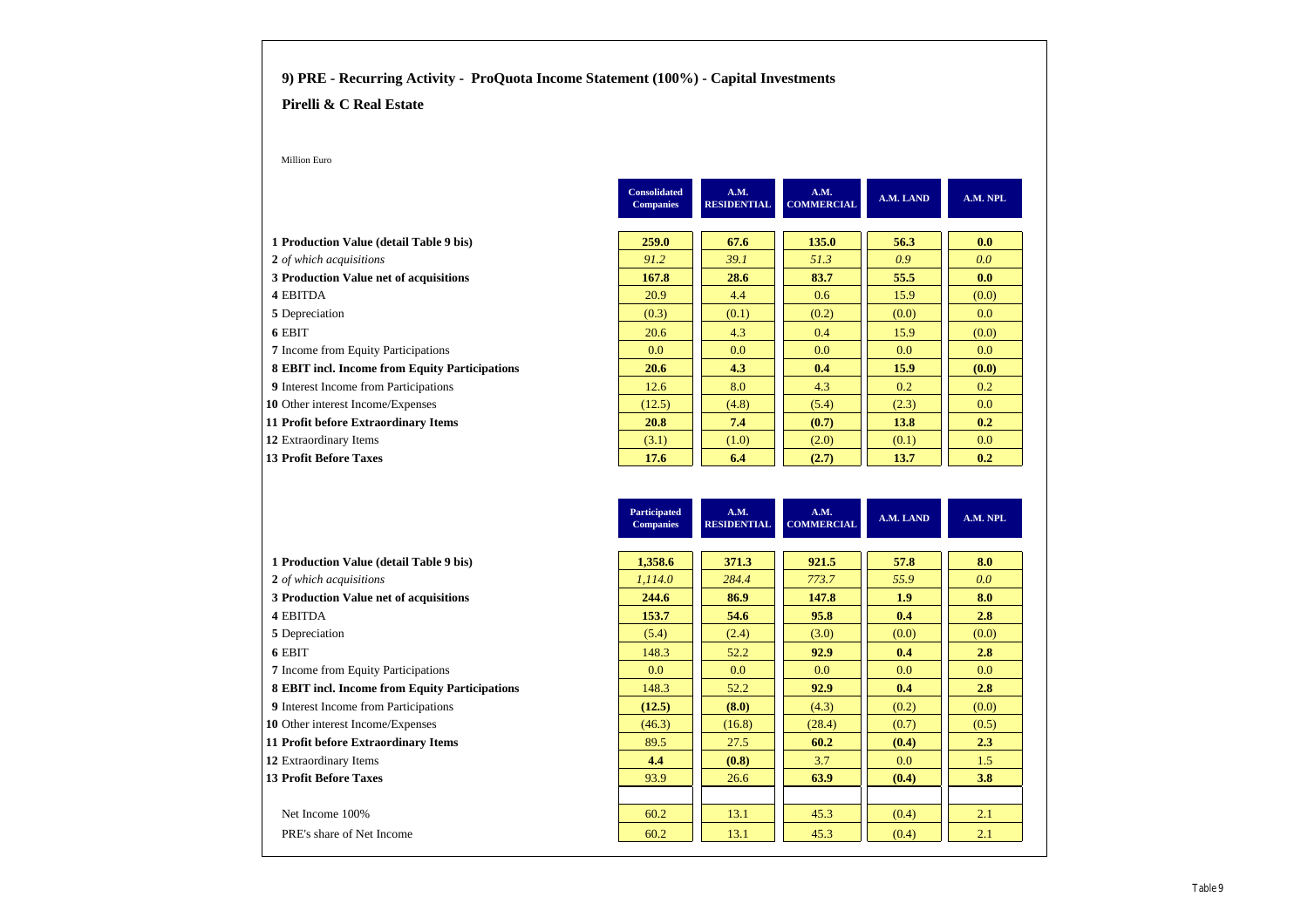#### **9) PRE - Recurring Activity - ProQuota Income Statement (100%) - Capital Investments**

#### **Pirelli & C Real Estate**

Million Euro

|                                                | <b>Consolidated</b><br><b>Companies</b> | A.M.<br><b>RESIDENTIAL</b> | A.M.<br><b>COMMERCIAL</b> | A.M. LAND        | A.M. NPL         |
|------------------------------------------------|-----------------------------------------|----------------------------|---------------------------|------------------|------------------|
| 1 Production Value (detail Table 9 bis)        | 259.0                                   | 67.6                       | 135.0                     | 56.3             | 0.0              |
| 2 of which acquisitions                        | 91.2                                    | 39.1                       | 51.3                      | 0.9              | 0.0              |
| 3 Production Value net of acquisitions         | 167.8                                   | 28.6                       | 83.7                      | 55.5             | 0.0              |
| 4 EBITDA                                       | 20.9                                    | 4.4                        | 0.6                       | 15.9             | (0.0)            |
| 5 Depreciation                                 | (0.3)                                   | (0.1)                      | (0.2)                     | (0.0)            | 0.0 <sub>1</sub> |
| 6 EBIT                                         | 20.6                                    | 4.3                        | 0.4                       | 15.9             | (0.0)            |
| <b>7</b> Income from Equity Participations     | 0.0 <sub>1</sub>                        | 0.0                        | 0.0                       | 0.0 <sub>1</sub> | 0.0 <sub>1</sub> |
| 8 EBIT incl. Income from Equity Participations | 20.6                                    | 4.3                        | 0.4                       | 15.9             | (0.0)            |
| <b>9</b> Interest Income from Participations   | 12.6                                    | 8.0                        | 4.3                       | 0.2              | 0.2              |
| 10 Other interest Income/Expenses              | (12.5)                                  | (4.8)                      | (5.4)                     | (2.3)            | 0.0              |
| 11 Profit before Extraordinary Items           | 20.8                                    | 7.4                        | (0.7)                     | 13.8             | 0.2              |
| 12 Extraordinary Items                         | (3.1)                                   | (1.0)                      | (2.0)                     | (0.1)            | 0.0              |
| <b>13 Profit Before Taxes</b>                  | 17.6                                    | 6.4                        | (2.7)                     | 13.7             | 0.2              |

| <b>Participated</b><br><b>Companies</b> | A.M.<br><b>RESIDENTIAL</b> | A.M.<br><b>COMMERCIAL</b> | A.M. LAND | A.M. NPL |
|-----------------------------------------|----------------------------|---------------------------|-----------|----------|
|                                         |                            |                           |           |          |
| 1,358.6                                 | 371.3                      | 921.5                     | 57.8      | 8.0      |
| 1,114.0                                 | 284.4                      | 773.7                     | 55.9      | 0.0      |
| 244.6                                   | 86.9                       | 147.8                     | 1.9       | 8.0      |
| 153.7                                   | 54.6                       | 95.8                      | 0.4       | 2.8      |
| (5.4)                                   | (2.4)                      | (3.0)                     | (0.0)     | (0.0)    |
| 148.3                                   | 52.2                       | 92.9                      | 0.4       | 2.8      |
| 0.0                                     | 0.0                        | 0.0                       | 0.0       | 0.0      |
| 148.3                                   | 52.2                       | 92.9                      | 0.4       | 2.8      |
| (12.5)                                  | (8.0)                      | (4.3)                     | (0.2)     | (0.0)    |
| (46.3)                                  | (16.8)                     | (28.4)                    | (0.7)     | (0.5)    |
| 89.5                                    | 27.5                       | 60.2                      | (0.4)     | 2.3      |
| 4.4                                     | (0.8)                      | 3.7                       | 0.0       | 1.5      |
| 93.9                                    | 26.6                       | 63.9                      | (0.4)     | 3.8      |
|                                         |                            |                           |           |          |
| 60.2                                    | 13.1                       | 45.3                      | (0.4)     | 2.1      |
| 60.2                                    | 13.1                       | 45.3                      | (0.4)     | 2.1      |
|                                         |                            |                           |           |          |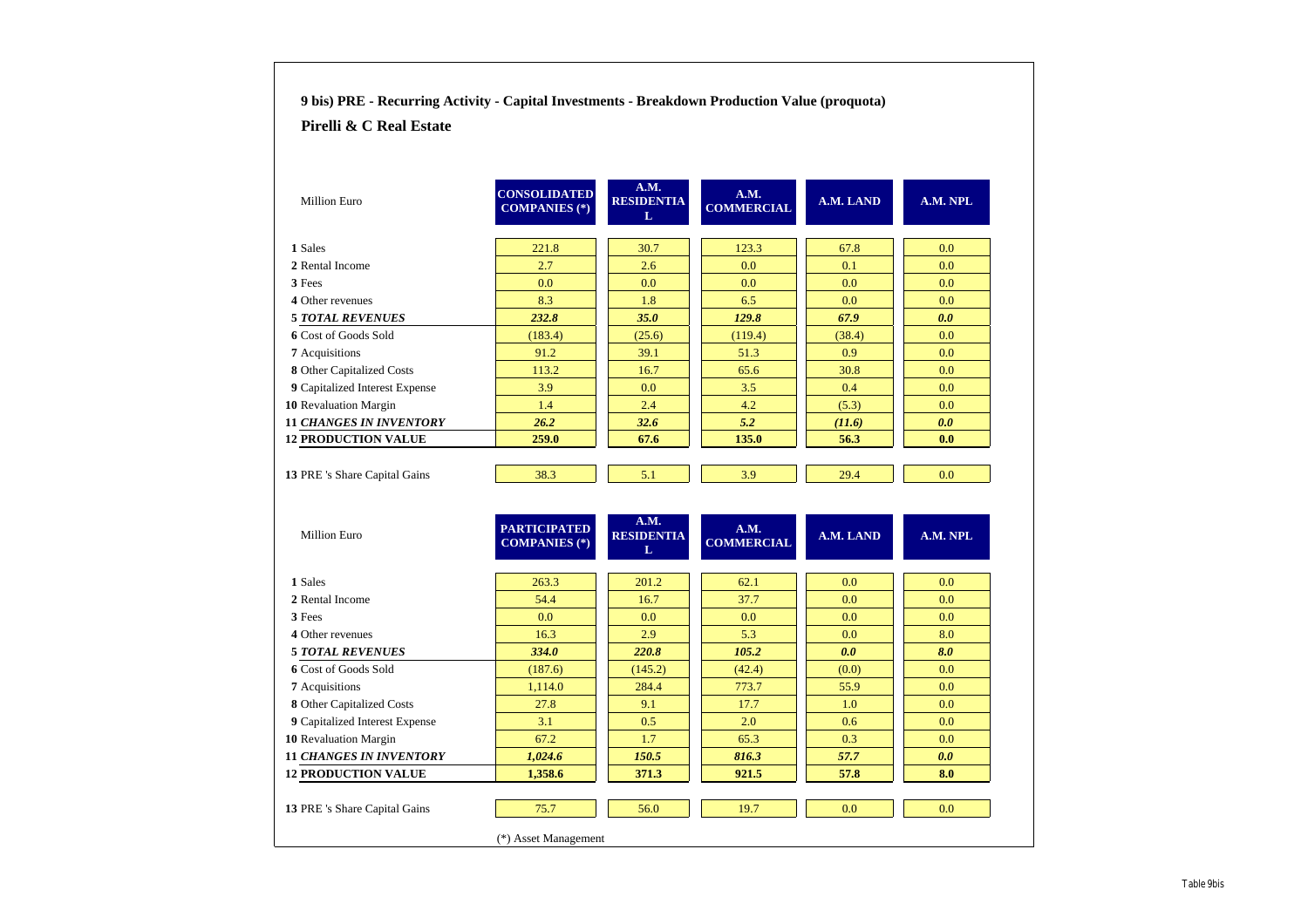| Pirelli & C Real Estate                                                                                                |                                             |                                |                           |           |          |
|------------------------------------------------------------------------------------------------------------------------|---------------------------------------------|--------------------------------|---------------------------|-----------|----------|
|                                                                                                                        |                                             |                                |                           |           |          |
| <b>Million Euro</b>                                                                                                    | <b>CONSOLIDATED</b><br><b>COMPANIES</b> (*) | A.M.<br><b>RESIDENTIA</b><br>L | A.M.<br><b>COMMERCIAL</b> | A.M. LAND | A.M. NPL |
| 1 Sales                                                                                                                | 221.8                                       | 30.7                           | 123.3                     | 67.8      | 0.0      |
| 2 Rental Income                                                                                                        | 2.7                                         | 2.6                            | 0.0                       | 0.1       | 0.0      |
| 3 Fees                                                                                                                 | 0.0                                         | 0.0                            | 0.0                       | 0.0       | 0.0      |
| 4 Other revenues                                                                                                       | 8.3                                         | 1.8                            | 6.5                       | 0.0       | 0.0      |
| <b>5 TOTAL REVENUES</b>                                                                                                | 232.8                                       | 35.0                           | 129.8                     | 67.9      | 0.0      |
| 6 Cost of Goods Sold                                                                                                   | (183.4)                                     | (25.6)                         | (119.4)                   | (38.4)    | 0.0      |
| 7 Acquisitions                                                                                                         | 91.2                                        | 39.1                           | 51.3                      | 0.9       | 0.0      |
| 8 Other Capitalized Costs                                                                                              | 113.2                                       | 16.7                           | 65.6                      | 30.8      | 0.0      |
| 9 Capitalized Interest Expense                                                                                         | 3.9                                         | 0.0                            | 3.5                       | 0.4       | 0.0      |
| 10 Revaluation Margin                                                                                                  | 1.4                                         | 2.4                            | 4.2                       | (5.3)     | 0.0      |
| <b>11 CHANGES IN INVENTORY</b>                                                                                         | 26.2                                        | 32.6                           | 5.2                       | (11.6)    | 0.0      |
| <b>12 PRODUCTION VALUE</b>                                                                                             | 259.0                                       | 67.6                           | 135.0                     | 56.3      | 0.0      |
| 13 PRE 's Share Capital Gains                                                                                          | 38.3                                        | 5.1                            | 3.9                       | 29.4      | 0.0      |
|                                                                                                                        |                                             |                                |                           |           |          |
| Million Euro                                                                                                           | <b>PARTICIPATED</b><br><b>COMPANIES</b> (*) | A.M.<br><b>RESIDENTIA</b>      | A.M.<br><b>COMMERCIAL</b> | A.M. LAND | A.M. NPL |
|                                                                                                                        |                                             | L                              |                           |           |          |
| 1 Sales                                                                                                                | 263.3                                       | 201.2                          | 62.1                      | 0.0       | 0.0      |
| 2 Rental Income                                                                                                        | 54.4                                        | 16.7                           | 37.7                      | 0.0       | 0.0      |
| 3 Fees                                                                                                                 | 0.0                                         | 0.0                            | 0.0                       | 0.0       | 0.0      |
| 4 Other revenues                                                                                                       | 16.3                                        | 2.9                            | 5.3                       | 0.0       | 8.0      |
| <b>5 TOTAL REVENUES</b>                                                                                                | 334.0                                       | 220.8                          | 105.2                     | 0.0       | 8.0      |
| 6 Cost of Goods Sold                                                                                                   | (187.6)                                     | (145.2)                        | (42.4)                    | (0.0)     | 0.0      |
| 7 Acquisitions                                                                                                         | 1,114.0                                     | 284.4                          | 773.7                     | 55.9      | 0.0      |
| 8 Other Capitalized Costs                                                                                              | 27.8                                        | 9.1                            | 17.7                      | 1.0       | 0.0      |
| 9 Capitalized Interest Expense                                                                                         | 3.1                                         | 0.5                            | 2.0                       | 0.6       | 0.0      |
|                                                                                                                        | 67.2                                        | 1.7                            | 65.3                      | 0.3       | 0.0      |
|                                                                                                                        | 1,024.6                                     | 150.5                          | 816.3                     | 57.7      | 0.0      |
|                                                                                                                        | 1,358.6                                     | 371.3                          | 921.5                     | 57.8      | 8.0      |
| 10 Revaluation Margin<br><b>11 CHANGES IN INVENTORY</b><br><b>12 PRODUCTION VALUE</b><br>13 PRE 's Share Capital Gains | 75.7                                        | 56.0                           | 19.7                      | 0.0       | 0.0      |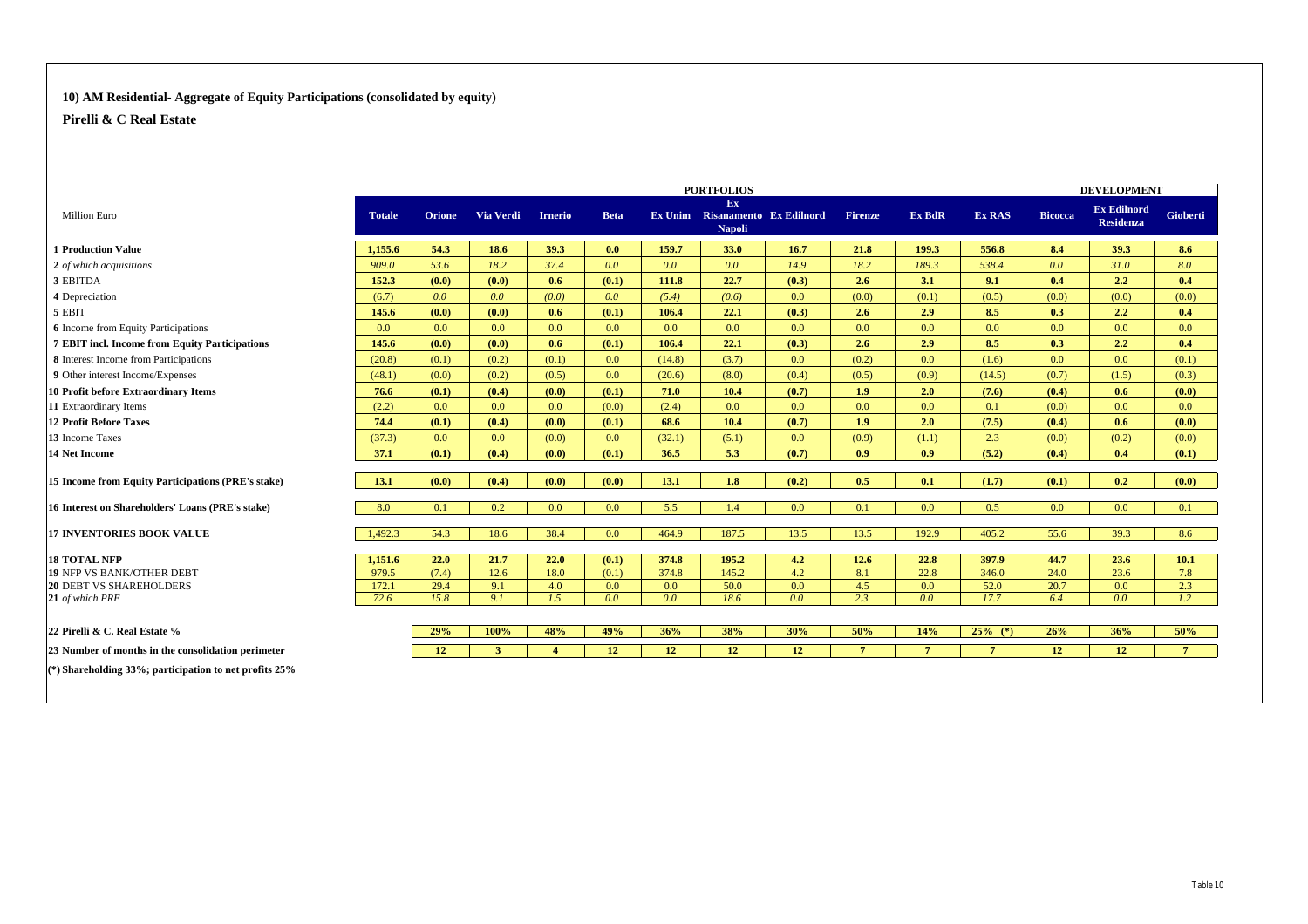#### **10) AM Residential- Aggregate of Equity Participations (consolidated by equity)**

|                                                          |               | <b>PORTFOLIOS</b> |              |                |                  |        |                                                        |       |                 |                 |               | <b>DEVELOPMENT</b> |                                        |                 |
|----------------------------------------------------------|---------------|-------------------|--------------|----------------|------------------|--------|--------------------------------------------------------|-------|-----------------|-----------------|---------------|--------------------|----------------------------------------|-----------------|
| <b>Million Euro</b>                                      | <b>Totale</b> | <b>Orione</b>     | Via Verdi    | <b>Irnerio</b> | <b>Beta</b>      |        | Ex<br>Ex Unim Risanamento Ex Edilnord<br><b>Napoli</b> |       | <b>Firenze</b>  | <b>Ex BdR</b>   | <b>Ex RAS</b> | <b>Bicocca</b>     | <b>Ex Edilnord</b><br><b>Residenza</b> | <b>Gioberti</b> |
| <b>1 Production Value</b>                                | 1.155.6       | 54.3              | 18.6         | 39.3           | 0.0              | 159.7  | 33.0                                                   | 16.7  | 21.8            | 199.3           | 556.8         | 8.4                | 39.3                                   | 8.6             |
| 2 of which acquisitions                                  | 909.0         | 53.6              | 18.2         | 37.4           | 0.0 <sub>0</sub> | 0.0    | 0.0                                                    | 14.9  | 18.2            | 189.3           | 538.4         | 0.0                | 31.0                                   | 8.0             |
| 3 EBITDA                                                 | 152.3         | (0.0)             | (0.0)        | 0.6            | (0.1)            | 111.8  | 22.7                                                   | (0.3) | 2.6             | 3.1             | 9.1           | 0.4                | $2.2^{\circ}$                          | 0.4             |
| 4 Depreciation                                           | (6.7)         | 0.0 <sub>1</sub>  | 0.0          | (0.0)          | 0.0              | (5.4)  | (0.6)                                                  | 0.0   | (0.0)           | (0.1)           | (0.5)         | (0.0)              | (0.0)                                  | (0.0)           |
| 5 EBIT                                                   | 145.6         | (0.0)             | (0.0)        | 0.6            | (0.1)            | 106.4  | 22.1                                                   | (0.3) | 2.6             | 2.9             | 8.5           | 0.3                | 2.2                                    | 0.4             |
| <b>6</b> Income from Equity Participations               | 0.0           | 0.0               | 0.0          | 0.0            | 0.0              | 0.0    | 0.0                                                    | 0.0   | 0.0             | 0.0             | 0.0           | 0.0                | 0.0                                    | 0.0             |
| 7 EBIT incl. Income from Equity Participations           | 145.6         | (0.0)             | (0.0)        | 0.6            | (0.1)            | 106.4  | 22.1                                                   | (0.3) | 2.6             | 2.9             | 8.5           | 0.3                | 2.2                                    | 0.4             |
| 8 Interest Income from Participations                    | (20.8)        | (0.1)             | (0.2)        | (0.1)          | 0.0              | (14.8) | (3.7)                                                  | 0.0   | (0.2)           | 0.0             | (1.6)         | 0.0                | 0.0                                    | (0.1)           |
| 9 Other interest Income/Expenses                         | (48.1)        | (0.0)             | (0.2)        | (0.5)          | 0.0 <sub>1</sub> | (20.6) | (8.0)                                                  | (0.4) | (0.5)           | (0.9)           | (14.5)        | (0.7)              | (1.5)                                  | (0.3)           |
| <b>10 Profit before Extraordinary Items</b>              | 76.6          | (0.1)             | (0.4)        | (0.0)          | (0.1)            | 71.0   | 10.4                                                   | (0.7) | 1.9             | 2.0             | (7.6)         | (0.4)              | 0.6                                    | (0.0)           |
| 11 Extraordinary Items                                   | (2.2)         | 0.0               | 0.0          | 0.0            | (0.0)            | (2.4)  | 0.0                                                    | 0.0   | 0.0             | 0.0             | 0.1           | (0.0)              | 0.0                                    | 0.0             |
| <b>12 Profit Before Taxes</b>                            | 74.4          | (0.1)             | (0.4)        | (0.0)          | (0.1)            | 68.6   | 10.4                                                   | (0.7) | 1.9             | 2.0             | (7.5)         | (0.4)              | 0.6                                    | (0.0)           |
| 13 Income Taxes                                          | (37.3)        | 0.0 <sub>1</sub>  | 0.0          | (0.0)          | 0.0              | (32.1) | (5.1)                                                  | 0.0   | (0.9)           | (1.1)           | 2.3           | (0.0)              | (0.2)                                  | (0.0)           |
| 14 Net Income                                            | 37.1          | (0.1)             | (0.4)        | (0.0)          | (0.1)            | 36.5   | 5.3                                                    | (0.7) | 0.9             | 0.9             | (5.2)         | (0.4)              | 0.4                                    | (0.1)           |
| 15 Income from Equity Participations (PRE's stake)       | 13.1          | (0.0)             | (0.4)        | (0.0)          | (0.0)            | 13.1   | 1.8                                                    | (0.2) | 0.5             | 0.1             | (1.7)         | (0.1)              | 0.2                                    | (0.0)           |
| 16 Interest on Shareholders' Loans (PRE's stake)         | 8.0           | 0.1               | 0.2          | 0.0            | 0.0              | 5.5    | 1.4                                                    | 0.0   | 0.1             | 0.0             | 0.5           | 0.0                | 0.0                                    | 0.1             |
| <b>17 INVENTORIES BOOK VALUE</b>                         | 1,492.3       | 54.3              | 18.6         | 38.4           | 0.0              | 464.9  | 187.5                                                  | 13.5  | 13.5            | 192.9           | 405.2         | 55.6               | 39.3                                   | 8.6             |
| <b>18 TOTAL NFP</b>                                      | 1,151.6       | 22.0              | 21.7         | 22.0           | (0.1)            | 374.8  | 195.2                                                  | 4.2   | 12.6            | 22.8            | 397.9         | 44.7               | 23.6                                   | 10.1            |
| <b>19 NFP VS BANK/OTHER DEBT</b>                         | 979.5         | (7.4)             | 12.6         | 18.0           | (0.1)            | 374.8  | 145.2                                                  | 4.2   | 8.1             | 22.8            | 346.0         | 24.0               | 23.6                                   | 7.8             |
| <b>20 DEBT VS SHAREHOLDERS</b>                           | 172.1         | 29.4              | 9.1          | 4.0            | 0.0              | 0.0    | 50.0                                                   | 0.0   | 4.5             | 0.0             | 52.0          | 20.7               | 0.0                                    | 2.3             |
| 21 of which PRE                                          | 72.6          | 15.8              | 9.1          | 1.5            | 0.0              | 0.0    | 18.6                                                   | 0.0   | 2.3             | 0.0             | 17.7          | 6.4                | 0.0 <sub>0</sub>                       | 1.2             |
| 22 Pirelli & C. Real Estate %                            |               | 29%               | 100%         | 48%            | 49%              | 36%    | 38%                                                    | 30%   | 50%             | 14%             | $25%$ (*)     | 26%                | 36%                                    | 50%             |
| 23 Number of months in the consolidation perimeter       |               | 12                | $\mathbf{3}$ | $\overline{4}$ | 12               | 12     | 12                                                     | 12    | $7\phantom{.0}$ | $7\phantom{.0}$ | $\mathbf{7}$  | 12                 | 12                                     | $7^{\circ}$     |
| (*) Shareholding 33%; participation to net profits $25%$ |               |                   |              |                |                  |        |                                                        |       |                 |                 |               |                    |                                        |                 |
|                                                          |               |                   |              |                |                  |        |                                                        |       |                 |                 |               |                    |                                        |                 |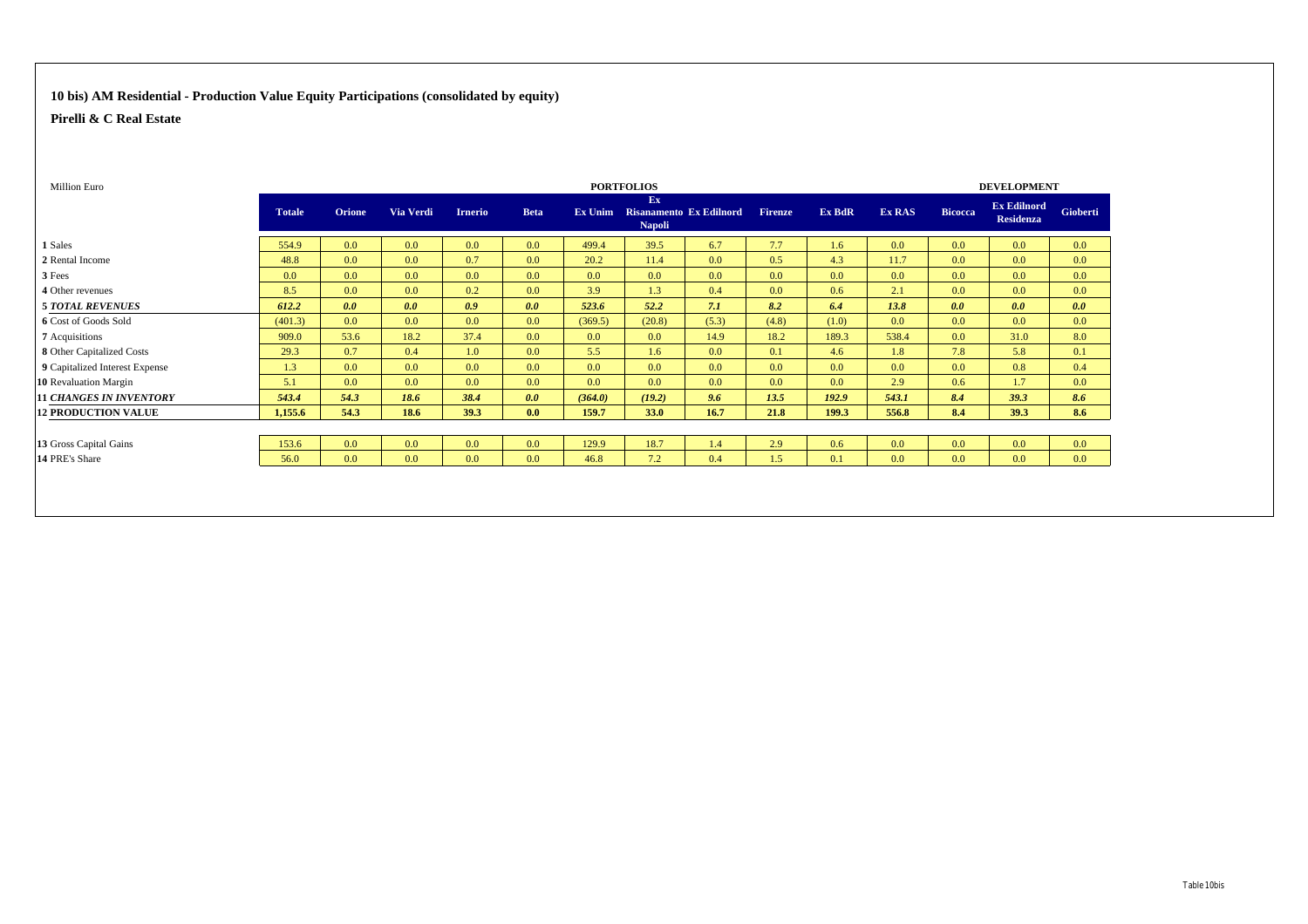#### **10 bis) AM Residential - Production Value Equity Participations (consolidated by equity)**

| Million Euro                   |               |                  |                  |                |             |                  | <b>PORTFOLIOS</b>   |                                 |                |        |        |                | <b>DEVELOPMENT</b>                     |                  |
|--------------------------------|---------------|------------------|------------------|----------------|-------------|------------------|---------------------|---------------------------------|----------------|--------|--------|----------------|----------------------------------------|------------------|
|                                | <b>Totale</b> | Orione           | Via Verdi        | <b>Irnerio</b> | <b>Beta</b> |                  | Ex<br><b>Napoli</b> | Ex Unim Risanamento Ex Edilnord | <b>Firenze</b> | Ex BdR | Ex RAS | <b>Bicocca</b> | <b>Ex Edilnord</b><br><b>Residenza</b> | Gioberti         |
| 1 Sales                        | 554.9         | 0.0 <sub>1</sub> | 0.0              | 0.0            | 0.0         | 499.4            | 39.5                | 6.7                             | 7.7            | 1.6    | 0.0    | 0.0            | 0.0                                    | 0.0              |
| 2 Rental Income                | 48.8          | 0.0 <sub>1</sub> | 0.0              | 0.7            | 0.0         | 20.2             | 11.4                | 0.0                             | 0.5            | 4.3    | 11.7   | 0.0            | 0.0 <sub>1</sub>                       | 0.0              |
| 3 Fees                         | 0.0           | 0.0 <sub>1</sub> | 0.0 <sub>0</sub> | 0.0            | 0.0         | 0.0 <sub>1</sub> | 0.0 <sub>1</sub>    | 0.0                             | 0.0            | 0.0    | 0.0    | 0.0            | 0.0 <sub>1</sub>                       | 0.0              |
| 4 Other revenues               | 8.5           | 0.0              | 0.0              | 0.2            | 0.0         | 3.9              | 1.3                 | 0.4                             | 0.0            | 0.6    | 2.1    | 0.0            | 0.0 <sub>1</sub>                       | 0.0              |
| <b>5 TOTAL REVENUES</b>        | 612.2         | 0.0              | 0.0              | 0.9            | 0.0         | 523.6            | 52.2                | 7.1                             | 8.2            | 6.4    | 13.8   | 0.0            | 0.0                                    | 0.0              |
| 6 Cost of Goods Sold           | (401.3)       | 0.0 <sub>1</sub> | 0.0              | 0.0            | 0.0         | (369.5)          | (20.8)              | (5.3)                           | (4.8)          | (1.0)  | 0.0    | 0.0            | 0.0 <sub>1</sub>                       | 0.0              |
| 7 Acquisitions                 | 909.0         | 53.6             | 18.2             | 37.4           | 0.0         | 0.0 <sub>1</sub> | 0.0 <sub>1</sub>    | 14.9                            | 18.2           | 189.3  | 538.4  | 0.0            | 31.0                                   | 8.0              |
| 8 Other Capitalized Costs      | 29.3          | 0.7              | 0.4              | 1.0            | 0.0         | 5.5              | 1.6                 | 0.0                             | 0.1            | 4.6    | 1.8    | 7.8            | 5.8                                    | 0.1              |
| 9 Capitalized Interest Expense | 1.3           | 0.0 <sub>1</sub> | 0.0              | 0.0            | 0.0         | 0.0 <sub>1</sub> | 0.0 <sub>1</sub>    | 0.0                             | 0.0            | 0.0    | 0.0    | 0.0            | 0.8                                    | 0.4              |
| 10 Revaluation Margin          | 5.1           | 0.0 <sub>1</sub> | 0.0              | 0.0            | 0.0         | 0.0 <sub>1</sub> | 0.0 <sub>1</sub>    | 0.0                             | 0.0            | 0.0    | 2.9    | 0.6            | 1.7                                    | 0.0              |
| <b>11 CHANGES IN INVENTORY</b> | 543.4         | 54.3             | 18.6             | 38.4           | 0.0         | (364.0)          | (19.2)              | 9.6                             | 13.5           | 192.9  | 543.1  | 8.4            | 39.3                                   | 8.6              |
| <b>12 PRODUCTION VALUE</b>     | 1,155.6       | 54.3             | 18.6             | 39.3           | 0.0         | 159.7            | 33.0                | 16.7                            | 21.8           | 199.3  | 556.8  | 8.4            | 39.3                                   | 8.6              |
|                                |               |                  |                  |                |             |                  |                     |                                 |                |        |        |                |                                        |                  |
| 13 Gross Capital Gains         | 153.6         | 0.0 <sub>1</sub> | 0.0              | 0.0            | 0.0         | 129.9            | 18.7                | 1.4                             | 2.9            | 0.6    | 0.0    | 0.0            | 0.0                                    | 0.0              |
| 14 PRE's Share                 | 56.0          | 0.0 <sub>1</sub> | 0.0              | 0.0            | 0.0         | 46.8             | 7.2                 | 0.4                             | 1.5            | 0.1    | 0.0    | 0.0            | 0.0                                    | 0.0 <sub>1</sub> |
|                                |               |                  |                  |                |             |                  |                     |                                 |                |        |        |                |                                        |                  |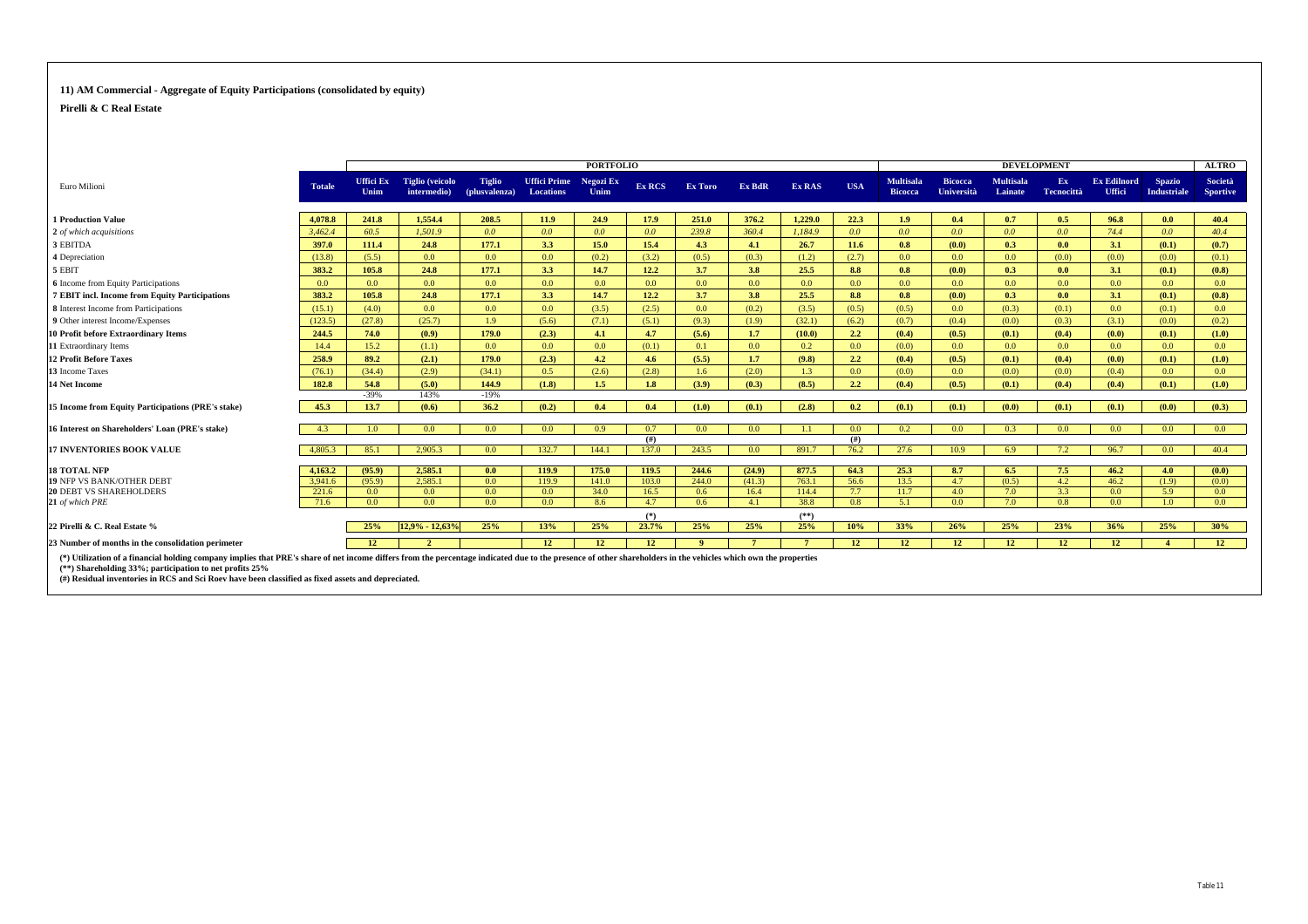#### **11) AM Commercial - Aggregate of Equity Participations (consolidated by equity)**

**Pirelli & C Real Estate**

|                                                                                                                                                                                                                                                                                    |                  |                          |                                       |                                |                                  | <b>PORTFOLIO</b>  |                  |         |                  |                  |                  |                             |                              |                             | <b>DEVELOPMENT</b>       |                              |                                     | <b>ALTRO</b>               |
|------------------------------------------------------------------------------------------------------------------------------------------------------------------------------------------------------------------------------------------------------------------------------------|------------------|--------------------------|---------------------------------------|--------------------------------|----------------------------------|-------------------|------------------|---------|------------------|------------------|------------------|-----------------------------|------------------------------|-----------------------------|--------------------------|------------------------------|-------------------------------------|----------------------------|
| Euro Milioni                                                                                                                                                                                                                                                                       | <b>Totale</b>    | <b>Uffici Ex</b><br>Unim | <b>Tiglio</b> (veicolo<br>intermedio) | <b>Tiglio</b><br>(plusvalenza) | <b>Uffici Prime</b><br>Locations | Negozi Ex<br>Unim | Ex RCS           | Ex Toro | Ex BdR           | Ex RAS           | <b>USA</b>       | Multisala<br><b>Bicocca</b> | <b>Bicocca</b><br>Università | <b>Multisala</b><br>Lainate | Ex.<br><b>Tecnocittà</b> | <b>Ex Edilnord</b><br>Uffici | <b>Spazio</b><br><b>Industriale</b> | Società<br><b>Sportive</b> |
| <b>1 Production Value</b>                                                                                                                                                                                                                                                          | 4.078.8          | 241.8                    | 1.554.4                               | 208.5                          | 11.9                             | 24.9              | 17.9             | 251.0   | 376.2            | 1.229.0          | 22.3             | 1.9 <sub>2</sub>            | 0.4                          | 0.7                         | 0.5                      | 96.8                         | 0.0                                 | 40.4                       |
| 2 of which acquisitions                                                                                                                                                                                                                                                            | 3,462.4          | 60.5                     | 1.501.9                               | 0.0 <sub>1</sub>               | 0.0 <sub>1</sub>                 | 0.0               | 0.0 <sub>0</sub> | 239.8   | 360.4            | 1.184.9          | 0.0 <sub>1</sub> | 0.0 <sub>1</sub>            | 0.0 <sub>1</sub>             | 0.0 <sub>1</sub>            | 0.0 <sub>1</sub>         | 74.4                         | 0.0 <sub>1</sub>                    | 40.4                       |
| 3 EBITDA                                                                                                                                                                                                                                                                           | 397.0            | 111.4                    | 24.8                                  | 177.1                          | 3.3                              | 15.0              | 15.4             | 4.3     | 4.1              | 26.7             | 11.6             | 0.8                         | (0.0)                        | 0.3                         | 0.0                      | 3.1                          | (0.1)                               | (0.7)                      |
| 4 Depreciation                                                                                                                                                                                                                                                                     | (13.8)           | (5.5)                    | 0.0 <sub>0</sub>                      | 0.0                            | 0.0 <sub>1</sub>                 | (0.2)             | (3.2)            | (0.5)   | (0.3)            | (1.2)            | (2.7)            | 0.0 <sub>1</sub>            | 0.0                          | 0.0 <sub>0</sub>            | (0.0)                    | (0.0)                        | (0.0)                               | (0.1)                      |
| 5 EBIT                                                                                                                                                                                                                                                                             | 383.2            | 105.8                    | 24.8                                  | 177.1                          | 3.3                              | 14.7              | 12.2             | 3.7     | 3.8              | 25.5             | 8.8              | 0.8                         | (0.0)                        | 0.3                         | 0.0                      | 3.1                          | (0.1)                               | (0.8)                      |
| <b>6</b> Income from Equity Participations                                                                                                                                                                                                                                         | 0.0 <sub>1</sub> | 0.0 <sub>1</sub>         | 0.0 <sub>1</sub>                      | 0.0                            | 0.0 <sub>0</sub>                 | 0.0               | 0.0              | 0.0     | 0.0              | 0.0 <sub>1</sub> | 0.0              | 0.0 <sub>1</sub>            | 0.0                          | 0.0                         | 0.0 <sub>1</sub>         | 0.0 <sub>0</sub>             | 0.0                                 | 0.0 <sub>1</sub>           |
| 7 EBIT incl. Income from Equity Participations                                                                                                                                                                                                                                     | 383.2            | 105.8                    | 24.8                                  | 177.1                          | 3.3                              | 14.7              | 12.2             | 3.7     | 3.8              | 25.5             | 8.8              | 0.8                         | (0.0)                        | 0.3                         | 0.0                      | 3.1                          | (0.1)                               | (0.8)                      |
| 8 Interest Income from Participations                                                                                                                                                                                                                                              | (15.1)           | (4.0)                    | 0.0                                   | 0.0                            | 0.0 <sub>1</sub>                 | (3.5)             | (2.5)            | 0.0     | (0.2)            | (3.5)            | (0.5)            | (0.5)                       | 0.0                          | (0.3)                       | (0.1)                    | 0.0 <sub>1</sub>             | (0.1)                               | 0.0                        |
| 9 Other interest Income/Expenses                                                                                                                                                                                                                                                   | (123.5)          | (27.8)                   | (25.7)                                | 1.9                            | (5.6)                            | (7.1)             | (5.1)            | (9.3)   | (1.9)            | (32.1)           | (6.2)            | (0.7)                       | (0.4)                        | (0.0)                       | (0.3)                    | (3.1)                        | (0.0)                               | (0.2)                      |
| <b>10 Profit before Extraordinary Items</b>                                                                                                                                                                                                                                        | 244.5            | 74.0                     | (0.9)                                 | 179.0                          | (2.3)                            | 4.1               | 4.7              | (5.6)   | 1.7              | (10.0)           | 2.2              | (0.4)                       | (0.5)                        | (0.1)                       | (0.4)                    | (0.0)                        | (0.1)                               | (1.0)                      |
| 11 Extraordinary Items                                                                                                                                                                                                                                                             | 14.4             | 15.2                     | (1.1)                                 | 0.0                            | 0.0 <sub>1</sub>                 | 0.0 <sub>1</sub>  | (0.1)            | 0.1     | 0.0 <sub>1</sub> | 0.2              | 0.0              | (0.0)                       | 0.0                          | 0.0                         | 0.0 <sub>1</sub>         | 0.0 <sub>1</sub>             | 0.0                                 | 0.0                        |
| <b>12 Profit Before Taxes</b>                                                                                                                                                                                                                                                      | 258.9            | 89.2                     | (2.1)                                 | 179.0                          | (2.3)                            | 4.2               | 4.6              | (5.5)   | 1.7              | (9.8)            | $2.2^{\circ}$    | (0.4)                       | (0.5)                        | (0.1)                       | (0.4)                    | (0.0)                        | (0.1)                               | (1.0)                      |
| 13 Income Taxes                                                                                                                                                                                                                                                                    | (76.1)           | (34.4)                   | (2.9)                                 | (34.1)                         | 0.5                              | (2.6)             | (2.8)            | 1.6     | (2.0)            | 1.3              | 0.0              | (0.0)                       | 0.0                          | (0.0)                       | (0.0)                    | (0.4)                        | 0.0                                 | 0.0 <sub>1</sub>           |
| <b>14 Net Income</b>                                                                                                                                                                                                                                                               | 182.8            | 54.8                     | (5.0)                                 | 144.9                          | (1.8)                            | 1.5               | 1.8              | (3.9)   | (0.3)            | (8.5)            | $2.2^{\circ}$    | (0.4)                       | (0.5)                        | (0.1)                       | (0.4)                    | (0.4)                        | (0.1)                               | (1.0)                      |
|                                                                                                                                                                                                                                                                                    |                  | $-39%$                   | 143%                                  | $-19%$                         |                                  |                   |                  |         |                  |                  |                  |                             |                              |                             |                          |                              |                                     |                            |
| 15 Income from Equity Participations (PRE's stake)                                                                                                                                                                                                                                 | 45.3             | 13.7                     | (0.6)                                 | 36.2                           | (0.2)                            | 0.4               | 0.4              | (1.0)   | (0.1)            | (2.8)            | 0.2              | (0.1)                       | (0.1)                        | (0.0)                       | (0.1)                    | (0.1)                        | (0.0)                               | (0.3)                      |
| 16 Interest on Shareholders' Loan (PRE's stake)                                                                                                                                                                                                                                    | 4.3              | 1.0 <sub>1</sub>         | 0.0 <sub>1</sub>                      | 0.0                            | 0.0 <sub>1</sub>                 | 0.9               | 0.7              | 0.0     | 0.0              | 1.1              | 0.0              | 0.2                         | 0.0                          | 0.3                         | 0.0                      | 0.0 <sub>1</sub>             | 0.0                                 | 0.0                        |
|                                                                                                                                                                                                                                                                                    |                  |                          |                                       |                                |                                  |                   | (#)              |         |                  |                  | (#)              |                             |                              |                             |                          |                              |                                     |                            |
| <b>17 INVENTORIES BOOK VALUE</b>                                                                                                                                                                                                                                                   | 4.805.3          | 85.1                     | 2.905.3                               | 0.0                            | 132.7                            | 144.1             | 137.0            | 243.5   | 0.0              | 891.7            | 76.2             | 27.6                        | 10.9                         | 6.9                         | 7.2                      | 96.7                         | 0.0                                 | 40.4                       |
| <b>18 TOTAL NFP</b>                                                                                                                                                                                                                                                                | 4.163.2          | (95.9)                   | 2.585.1                               | 0.0 <sub>1</sub>               | 119.9                            | 175.0             | 119.5            | 244.6   | (24.9)           | 877.5            | 64.3             | 25.3                        | 8.7                          | 6.5                         | 7.5                      | 46.2                         | 4.0                                 | (0.0)                      |
| <b>19 NFP VS BANK/OTHER DEBT</b>                                                                                                                                                                                                                                                   | 3.941.6          | (95.9)                   | 2.585.1                               | 0.0                            | 119.9                            | 141.0             | 103.0            | 244.0   | (41.3)           | 763.1            | 56.6             | 13.5                        | 4.7                          | (0.5)                       | 4.2                      | 46.2                         | (1.9)                               | (0.0)                      |
| <b>20 DEBT VS SHAREHOLDERS</b>                                                                                                                                                                                                                                                     | 221.6            | 0.0 <sub>1</sub>         | 0.0                                   | 0.0                            | 0.0 <sub>1</sub>                 | 34.0              | 16.5             | 0.6     | 16.4             | 114.4            | 7.7              | 11.7                        | 4.0                          | 7.0                         | 3.3                      | 0.0 <sub>1</sub>             | 5.9                                 | 0.0                        |
| 21 of which PRE                                                                                                                                                                                                                                                                    | 71.6             | 0.0                      | 0.0 <sub>1</sub>                      | 0.0                            | 0.0 <sub>1</sub>                 | 8.6               | 4.7              | 0.6     | 4.1              | 38.8             | 0.8              | 5.1                         | 0.0                          | 7.0                         | 0.8                      | 0.0 <sub>1</sub>             | 1.0                                 | 0.0                        |
|                                                                                                                                                                                                                                                                                    |                  |                          |                                       |                                |                                  |                   | $(*)$            |         |                  | $(**)$           |                  |                             |                              |                             |                          |                              |                                     |                            |
| 22 Pirelli & C. Real Estate %                                                                                                                                                                                                                                                      |                  | 25%                      | 12.9% - 12.63%                        | 25%                            | 13%                              | 25%               | 23.7%            | 25%     | 25%              | 25%              | 10%              | 33%                         | 26%                          | 25%                         | 23%                      | 36%                          | 25%                                 | 30%                        |
| 23 Number of months in the consolidation perimeter                                                                                                                                                                                                                                 |                  | 12                       | $\overline{\phantom{a}}$              |                                | 12 <sup>2</sup>                  | 12                | 12               | -9      |                  | $\mathbf{7}$     | 12               | 12                          | 12 <sup>2</sup>              | 12                          | 12 <sup>7</sup>          | 12                           | $\overline{4}$                      | 12                         |
| (*) Utilization of a financial holding company implies that PRE's share of net income differs from the percentage indicated due to the presence of other shareholders in the vehicles which own the properties<br>$(**)$ Sharaholding $330/$ ; participation to not profite $250/$ |                  |                          |                                       |                                |                                  |                   |                  |         |                  |                  |                  |                             |                              |                             |                          |                              |                                     |                            |

**(\*\*) Shareholding 33%; participation to net profits 25% (#) Residual inventories in RCS and Sci Roev have been classified as fixed assets and depreciated.**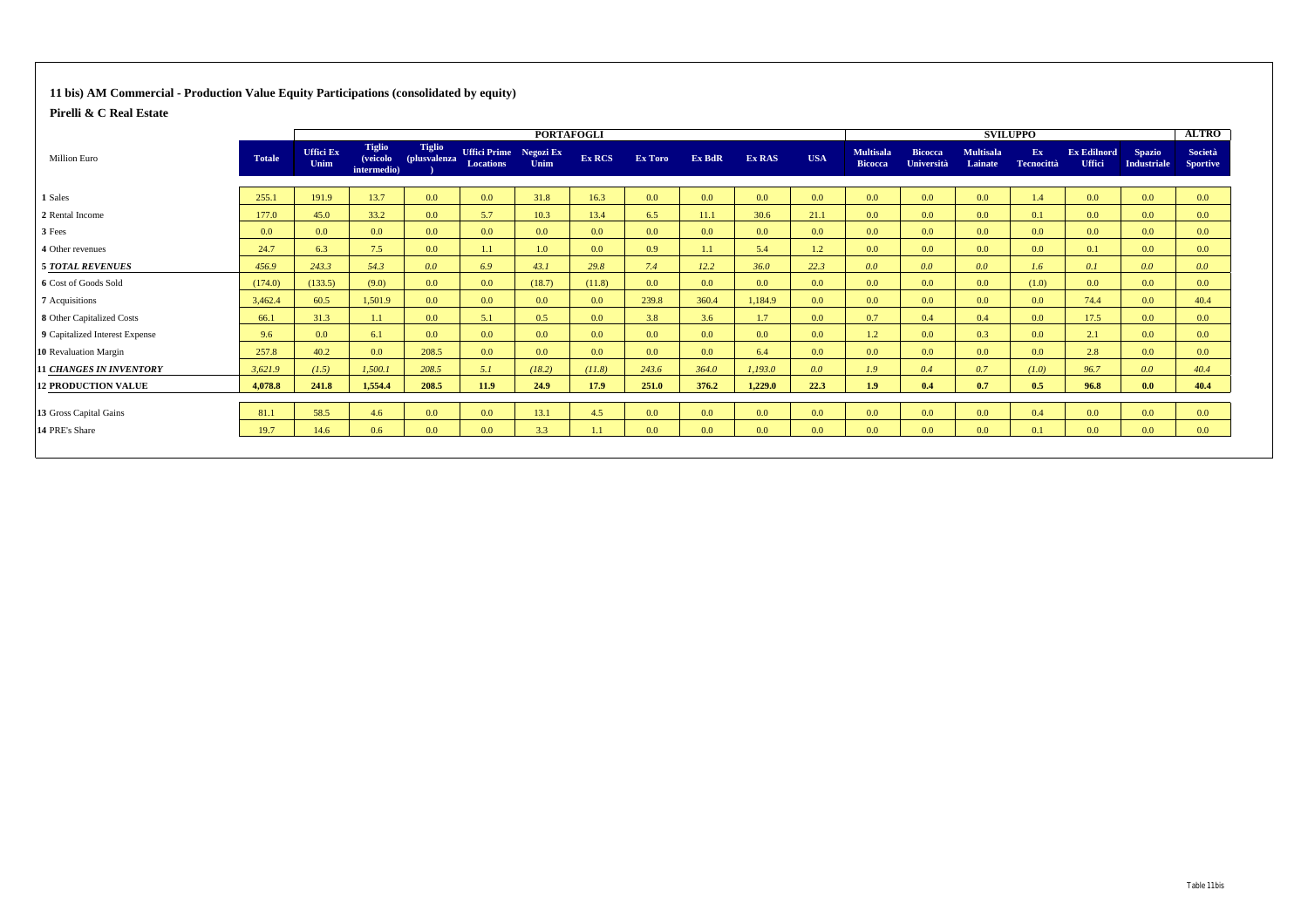#### **11 bis) AM Commercial - Production Value Equity Participations (consolidated by equity)**

|                                |               |                          | <b>PORTAFOGLI</b>                        |                               |                                            |        |        |                  |                  |         |                  |                                    | <b>SVILUPPO</b>              |                             |                         | <b>ALTRO</b>                        |                                     |                                   |
|--------------------------------|---------------|--------------------------|------------------------------------------|-------------------------------|--------------------------------------------|--------|--------|------------------|------------------|---------|------------------|------------------------------------|------------------------------|-----------------------------|-------------------------|-------------------------------------|-------------------------------------|-----------------------------------|
| <b>Million Euro</b>            | <b>Totale</b> | <b>Uffici Ex</b><br>Unim | <b>Tiglio</b><br>(veicolo<br>intermedio) | <b>Tiglio</b><br>(plusvalenza | Uffici Prime Negozi Ex<br><b>Locations</b> | Unim   | Ex RCS | Ex Toro          | Ex BdR           | Ex RAS  | <b>USA</b>       | <b>Multisala</b><br><b>Bicocca</b> | <b>Bicocca</b><br>Università | <b>Multisala</b><br>Lainate | Ex<br><b>Tecnocittà</b> | <b>Ex Edilnord</b><br><b>Uffici</b> | <b>Spazio</b><br><b>Industriale</b> | <b>Società</b><br><b>Sportive</b> |
| 1 Sales                        | 255.1         | 191.9                    | 13.7                                     | 0.0                           | 0.0                                        | 31.8   | 16.3   | 0.0 <sub>1</sub> | 0.0              | 0.0     | 0.0 <sub>1</sub> | 0.0                                | 0.0 <sub>1</sub>             | 0.0 <sub>0</sub>            | 1.4                     | 0.0                                 | 0.0                                 | 0.0 <sub>1</sub>                  |
| 2 Rental Income                | 177.0         | 45.0                     | 33.2                                     | 0.0                           | 5.7                                        | 10.3   | 13.4   | 6.5              | 11.1             | 30.6    | 21.1             | 0.0                                | 0.0 <sub>1</sub>             | 0.0 <sub>0</sub>            | 0.1                     | 0.0                                 | 0.0 <sub>1</sub>                    | 0.0                               |
| 3 Fees                         | 0.0           | 0.0 <sub>1</sub>         | 0.0 <sub>1</sub>                         | 0.0                           | 0.0                                        | 0.0    | 0.0    | 0.0 <sub>1</sub> | 0.0              | 0.0     | 0.0              | 0.0                                | 0.0 <sub>1</sub>             | 0.0                         | 0.0 <sub>1</sub>        | 0.0                                 | 0.0 <sub>1</sub>                    | 0.0 <sub>1</sub>                  |
| 4 Other revenues               | 24.7          | 6.3                      | 7.5                                      | 0.0                           | 1.1                                        | 1.0    | 0.0    | 0.9              | 1.1              | 5.4     | 1.2              | 0.0                                | 0.0 <sub>1</sub>             | 0.0 <sub>0</sub>            | 0.0 <sub>1</sub>        | 0.1                                 | 0.0 <sub>1</sub>                    | 0.0 <sub>1</sub>                  |
| <b>5 TOTAL REVENUES</b>        | 456.9         | 243.3                    | 54.3                                     | 0.0                           | 6.9                                        | 43.1   | 29.8   | 7.4              | 12.2             | 36.0    | 22.3             | 0.0                                | 0.0 <sub>1</sub>             | 0.0                         | 1.6                     | 0.1                                 | 0.0 <sub>1</sub>                    | 0.0                               |
| 6 Cost of Goods Sold           | (174.0)       | (133.5)                  | (9.0)                                    | 0.0                           | 0.0                                        | (18.7) | (11.8) | 0.0              | 0.0              | 0.0     | 0.0              | 0.0                                | 0.0 <sub>1</sub>             | 0.0                         | (1.0)                   | 0.0                                 | 0.0 <sub>1</sub>                    | 0.0 <sub>1</sub>                  |
| 7 Acquisitions                 | 3,462.4       | 60.5                     | 1,501.9                                  | 0.0                           | 0.0                                        | 0.0    | 0.0    | 239.8            | 360.4            | 1,184.9 | 0.0              | 0.0                                | 0.0 <sub>1</sub>             | 0.0 <sub>0</sub>            | 0.0 <sub>1</sub>        | 74.4                                | 0.0                                 | 40.4                              |
| 8 Other Capitalized Costs      | 66.1          | 31.3                     | 1.1                                      | 0.0                           | 5.1                                        | 0.5    | 0.0    | 3.8              | 3.6              | 1.7     | 0.0 <sub>1</sub> | 0.7                                | 0.4                          | 0.4                         | 0.0                     | 17.5                                | 0.0                                 | 0.0                               |
| 9 Capitalized Interest Expense | 9.6           | 0.0 <sub>1</sub>         | 6.1                                      | 0.0                           | 0.0                                        | 0.0    | 0.0    | 0.0              | 0.0 <sub>0</sub> | 0.0     | 0.0 <sub>1</sub> | 1.2                                | 0.0 <sub>1</sub>             | 0.3                         | 0.0 <sub>1</sub>        | 2.1                                 | 0.0 <sub>1</sub>                    | 0.0 <sub>1</sub>                  |
| 10 Revaluation Margin          | 257.8         | 40.2                     | 0.0 <sub>1</sub>                         | 208.5                         | 0.0                                        | 0.0    | 0.0    | 0.0              | 0.0 <sub>0</sub> | 6.4     | 0.0 <sub>1</sub> | 0.0 <sub>1</sub>                   | 0.0 <sub>1</sub>             | 0.0                         | 0.0 <sub>1</sub>        | 2.8                                 | 0.0 <sub>1</sub>                    | 0.0 <sub>1</sub>                  |
| <b>11 CHANGES IN INVENTORY</b> | 3,621.9       | (1.5)                    | 1,500.1                                  | 208.5                         | 5.1                                        | (18.2) | (11.8) | 243.6            | 364.0            | 1,193.0 | 0.0              | 1.9                                | 0.4                          | 0.7                         | (I.0)                   | 96.7                                | 0.0 <sub>1</sub>                    | 40.4                              |
| <b>12 PRODUCTION VALUE</b>     | 4,078.8       | 241.8                    | 1,554.4                                  | 208.5                         | 11.9                                       | 24.9   | 17.9   | 251.0            | 376.2            | 1,229.0 | 22.3             | 1.9                                | 0.4                          | 0.7                         | 0.5                     | 96.8                                | 0.0                                 | 40.4                              |
| 13 Gross Capital Gains         | 81.1          | 58.5                     | 4.6                                      | 0.0                           | 0.0                                        | 13.1   | 4.5    | 0.0 <sub>1</sub> | 0.0              | 0.0     | 0.0              | 0.0 <sub>1</sub>                   | 0.0                          | 0.0                         | 0.4                     | 0.0                                 | 0.0                                 | 0.0                               |
| 14 PRE's Share                 | 19.7          | 14.6                     | 0.6 <sub>0</sub>                         | 0.0                           | 0.0                                        | 3.3    | 1.1    | 0.0 <sub>1</sub> | 0.0              | 0.0     | 0.0              | 0.0                                | 0.0                          | 0.0                         | 0.1                     | 0.0                                 | 0.0 <sub>1</sub>                    | 0.0 <sub>1</sub>                  |
|                                |               |                          |                                          |                               |                                            |        |        |                  |                  |         |                  |                                    |                              |                             |                         |                                     |                                     |                                   |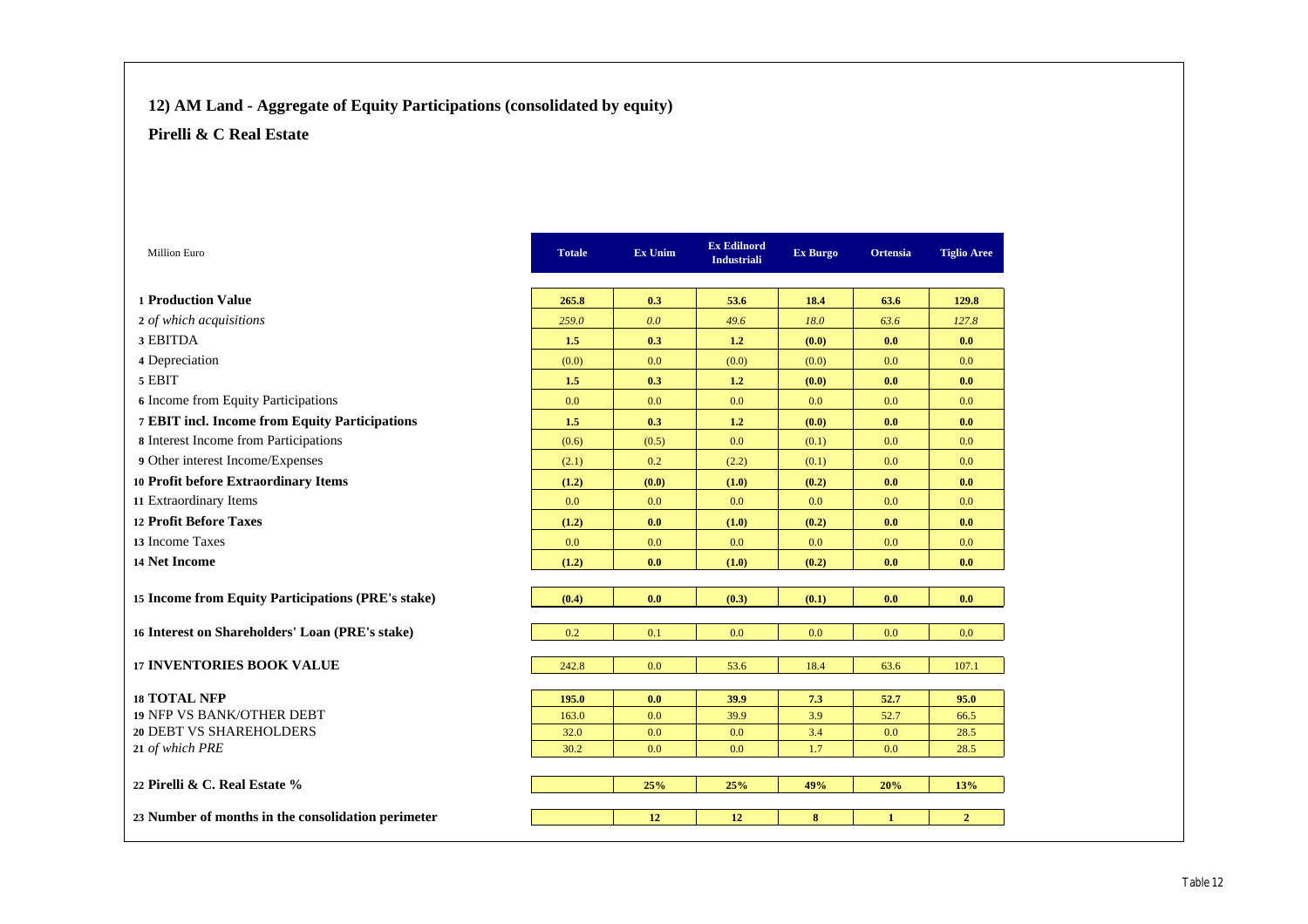## **12) AM Land - Aggregate of Equity Participations (consolidated by equity)**

| <b>Million Euro</b>                                | <b>Totale</b> | Ex Unim    | <b>Ex Edilnord</b><br><b>Industriali</b> | Ex Burgo   | Ortensia     | <b>Tiglio Aree</b> |
|----------------------------------------------------|---------------|------------|------------------------------------------|------------|--------------|--------------------|
| <b>1 Production Value</b>                          | 265.8         | 0.3        | 53.6                                     | 18.4       | 63.6         | 129.8              |
| 2 of which acquisitions                            | 259.0         | 0.0        | 49.6                                     | 18.0       | 63.6         | 127.8              |
| 3 EBITDA                                           | 1.5           | 0.3        | 1.2                                      | (0.0)      | 0.0          | 0.0                |
| 4 Depreciation                                     | (0.0)         | 0.0        | (0.0)                                    | (0.0)      | 0.0          | 0.0                |
| 5 EBIT                                             | 1.5           | 0.3        | 1.2                                      | (0.0)      | 0.0          | 0.0                |
| 6 Income from Equity Participations                | 0.0           | 0.0        | 0.0                                      | 0.0        | 0.0          | 0.0                |
| 7 EBIT incl. Income from Equity Participations     | 1.5           | 0.3        | 1.2                                      | (0.0)      | 0.0          | 0.0                |
| 8 Interest Income from Participations              | (0.6)         | (0.5)      | 0.0                                      | (0.1)      | 0.0          | 0.0                |
| 9 Other interest Income/Expenses                   | (2.1)         | 0.2        | (2.2)                                    | (0.1)      | 0.0          | 0.0                |
| 10 Profit before Extraordinary Items               | (1.2)         | (0.0)      | (1.0)                                    | (0.2)      | 0.0          | 0.0                |
| 11 Extraordinary Items                             | 0.0           | 0.0        | 0.0                                      | 0.0        | 0.0          | 0.0                |
| 12 Profit Before Taxes                             | (1.2)         | 0.0        | (1.0)                                    | (0.2)      | 0.0          | 0.0                |
| 13 Income Taxes                                    | 0.0           | 0.0        | 0.0                                      | 0.0        | 0.0          | 0.0                |
| 14 Net Income                                      | (1.2)         | 0.0        | (1.0)                                    | (0.2)      | 0.0          | 0.0                |
| 15 Income from Equity Participations (PRE's stake) | (0.4)         | 0.0        | (0.3)                                    | (0.1)      | 0.0          | 0.0                |
|                                                    |               |            |                                          |            |              |                    |
| 16 Interest on Shareholders' Loan (PRE's stake)    | 0.2           | 0.1        | 0.0                                      | 0.0        | 0.0          | 0.0                |
| <b>17 INVENTORIES BOOK VALUE</b>                   | 242.8         | 0.0        | 53.6                                     | 18.4       | 63.6         | 107.1              |
|                                                    |               |            |                                          |            |              |                    |
| <b>18 TOTAL NFP</b><br>19 NFP VS BANK/OTHER DEBT   | 195.0         | 0.0        | 39.9                                     | 7.3        | 52.7         | 95.0               |
| 20 DEBT VS SHAREHOLDERS                            | 163.0<br>32.0 | 0.0<br>0.0 | 39.9<br>0.0                              | 3.9<br>3.4 | 52.7<br>0.0  | 66.5<br>28.5       |
| 21 of which PRE                                    | 30.2          | 0.0        | 0.0                                      | 1.7        | 0.0          | 28.5               |
|                                                    |               |            |                                          |            |              |                    |
| 22 Pirelli & C. Real Estate %                      |               | 25%        | 25%                                      | 49%        | 20%          | 13%                |
| 23 Number of months in the consolidation perimeter |               | 12         | 12                                       | 8          | $\mathbf{1}$ | $\overline{2}$     |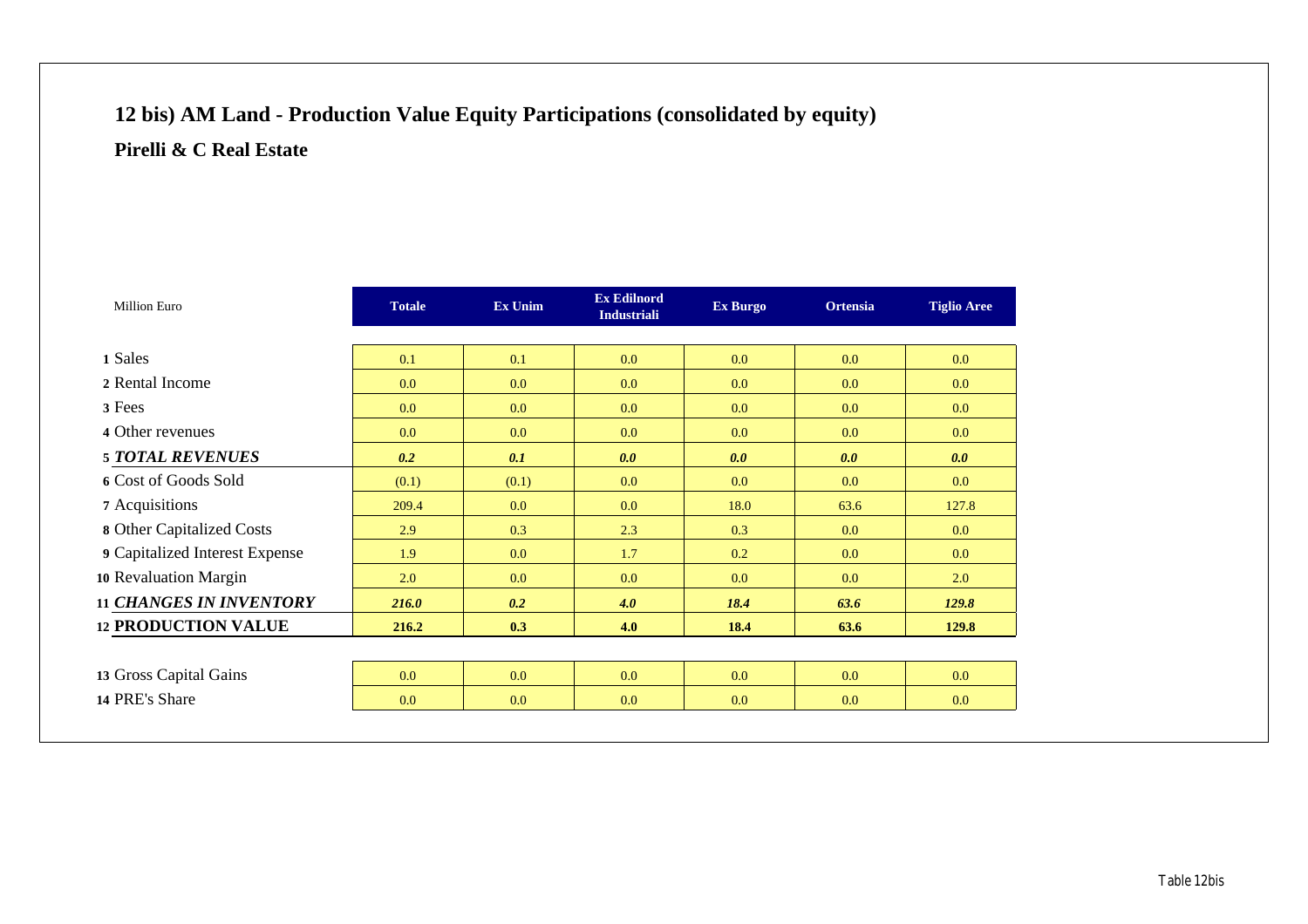# **12 bis) AM Land - Production Value Equity Participations (consolidated by equity) Pirelli & C Real Estate**

| Million Euro                   | <b>Totale</b> | <b>Ex Unim</b> | <b>Ex Edilnord</b><br><b>Industriali</b> | <b>Ex Burgo</b> | <b>Ortensia</b>  | <b>Tiglio Aree</b> |
|--------------------------------|---------------|----------------|------------------------------------------|-----------------|------------------|--------------------|
|                                |               |                |                                          |                 |                  |                    |
| 1 Sales                        | 0.1           | 0.1            | 0.0                                      | 0.0             | 0.0 <sub>1</sub> | 0.0 <sub>1</sub>   |
| 2 Rental Income                | 0.0           | 0.0            | 0.0                                      | 0.0             | 0.0              | 0.0                |
| 3 Fees                         | 0.0           | 0.0            | 0.0                                      | 0.0             | 0.0              | 0.0                |
| 4 Other revenues               | 0.0           | 0.0            | 0.0                                      | 0.0             | 0.0              | 0.0                |
| <b>5 TOTAL REVENUES</b>        | 0.2           | 0.1            | 0.0                                      | 0.0             | 0.0              | 0.0                |
| 6 Cost of Goods Sold           | (0.1)         | (0.1)          | 0.0                                      | 0.0             | 0.0              | 0.0                |
| 7 Acquisitions                 | 209.4         | 0.0            | 0.0                                      | 18.0            | 63.6             | 127.8              |
| 8 Other Capitalized Costs      | 2.9           | 0.3            | 2.3                                      | 0.3             | 0.0              | 0.0                |
| 9 Capitalized Interest Expense | 1.9           | 0.0            | 1.7                                      | 0.2             | 0.0              | 0.0                |
| 10 Revaluation Margin          | 2.0           | 0.0            | 0.0                                      | 0.0             | 0.0              | 2.0                |
| <b>11 CHANGES IN INVENTORY</b> | 216.0         | 0.2            | 4.0                                      | 18.4            | 63.6             | 129.8              |
| <b>12 PRODUCTION VALUE</b>     | 216.2         | 0.3            | 4.0                                      | 18.4            | 63.6             | 129.8              |
|                                |               |                |                                          |                 |                  |                    |
| 13 Gross Capital Gains         | 0.0           | 0.0            | 0.0                                      | 0.0             | 0.0              | 0.0                |
| 14 PRE's Share                 | 0.0           | 0.0            | 0.0                                      | 0.0             | 0.0              | 0.0                |
|                                |               |                |                                          |                 |                  |                    |